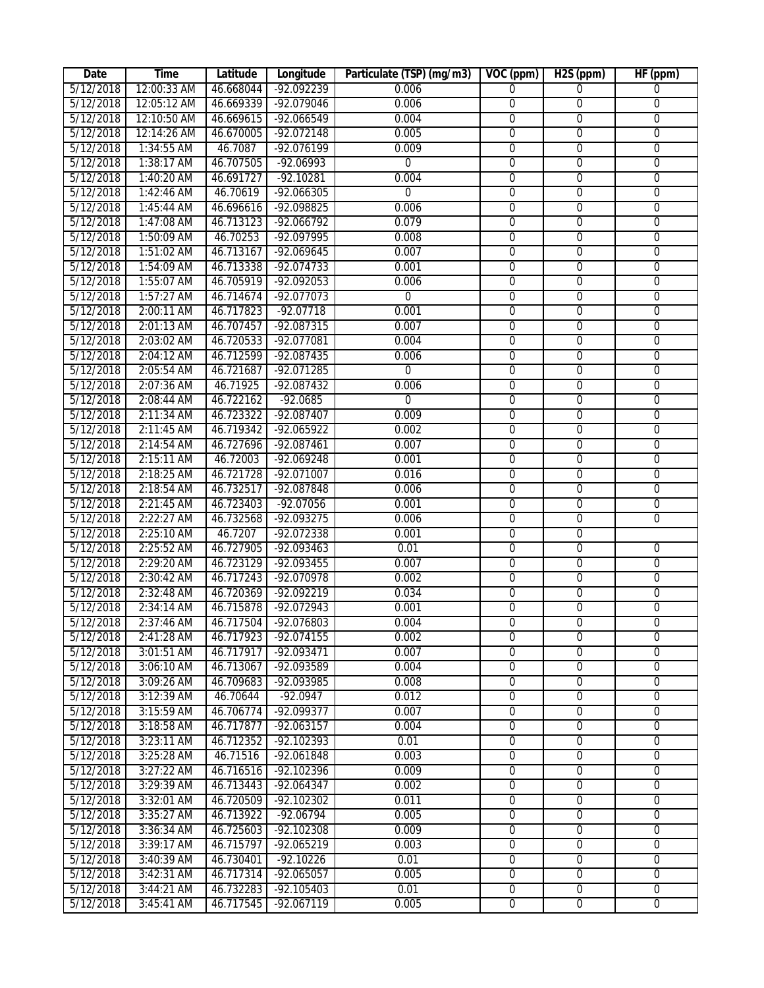| Date      | Time         | Latitude  | Longitude    | Particulate (TSP) (mg/m3) | VOC (ppm)      | H <sub>2</sub> S (ppm) | HF (ppm)       |
|-----------|--------------|-----------|--------------|---------------------------|----------------|------------------------|----------------|
| 5/12/2018 | 12:00:33 AM  | 46.668044 | -92.092239   | 0.006                     | $\overline{0}$ | $\overline{0}$         | $\mathbf{0}$   |
| 5/12/2018 | 12:05:12 AM  | 46.669339 | -92.079046   | 0.006                     | $\overline{0}$ | $\overline{0}$         | $\overline{0}$ |
| 5/12/2018 | 12:10:50 AM  | 46.669615 | $-92.066549$ | 0.004                     | $\overline{0}$ | $\overline{0}$         | $\overline{0}$ |
| 5/12/2018 | 12:14:26 AM  | 46.670005 | $-92.072148$ | 0.005                     | $\overline{0}$ | $\overline{0}$         | $\overline{0}$ |
| 5/12/2018 | 1:34:55 AM   | 46.7087   | $-92.076199$ | 0.009                     | $\overline{0}$ | $\overline{0}$         | 0              |
| 5/12/2018 | 1:38:17 AM   | 46.707505 | $-92.06993$  | $\overline{0}$            | $\overline{0}$ | $\overline{0}$         | 0              |
| 5/12/2018 | 1:40:20 AM   | 46.691727 | $-92.10281$  | 0.004                     | $\overline{0}$ | $\overline{0}$         | 0              |
| 5/12/2018 | 1:42:46 AM   | 46.70619  | $-92.066305$ | $\overline{0}$            | 0              | $\overline{0}$         | 0              |
| 5/12/2018 | 1:45:44 AM   | 46.696616 | $-92.098825$ | 0.006                     | $\overline{0}$ | $\overline{0}$         | $\overline{0}$ |
| 5/12/2018 | 1:47:08 AM   | 46.713123 | $-92.066792$ | 0.079                     | $\overline{0}$ | $\overline{0}$         | $\overline{0}$ |
| 5/12/2018 | 1:50:09 AM   | 46.70253  | -92.097995   | 0.008                     | $\overline{0}$ | $\overline{0}$         | $\overline{0}$ |
| 5/12/2018 | 1:51:02 AM   | 46.713167 | -92.069645   | 0.007                     | $\overline{0}$ | $\overline{0}$         | $\overline{0}$ |
| 5/12/2018 | 1:54:09 AM   | 46.713338 | $-92.074733$ | 0.001                     | $\overline{0}$ | $\overline{0}$         | $\overline{0}$ |
| 5/12/2018 | 1:55:07 AM   | 46.705919 | $-92.092053$ | 0.006                     | $\overline{0}$ | $\overline{0}$         | $\overline{0}$ |
| 5/12/2018 | 1:57:27 AM   | 46.714674 | $-92.077073$ | $\mathbf 0$               | 0              | $\overline{0}$         | $\overline{0}$ |
| 5/12/2018 | 2:00:11 AM   | 46.717823 | $-92.07718$  | 0.001                     | $\overline{0}$ | $\overline{0}$         | $\overline{0}$ |
| 5/12/2018 | 2:01:13 AM   | 46.707457 | $-92.087315$ | 0.007                     | 0              | $\overline{0}$         | 0              |
| 5/12/2018 | 2:03:02 AM   | 46.720533 | $-92.077081$ | 0.004                     | 0              | $\overline{0}$         | 0              |
| 5/12/2018 | 2:04:12 AM   | 46.712599 | $-92.087435$ | 0.006                     | $\overline{0}$ | $\overline{0}$         | $\overline{0}$ |
| 5/12/2018 | 2:05:54 AM   | 46.721687 | $-92.071285$ | $\overline{0}$            | $\overline{0}$ | $\overline{0}$         | $\overline{0}$ |
| 5/12/2018 | 2:07:36 AM   | 46.71925  | -92.087432   | 0.006                     | $\overline{0}$ | $\overline{0}$         | $\overline{0}$ |
| 5/12/2018 | 2:08:44 AM   | 46.722162 | $-92.0685$   | $\overline{0}$            | 0              | $\overline{0}$         | $\overline{0}$ |
| 5/12/2018 | 2:11:34 AM   | 46.723322 | -92.087407   | 0.009                     | 0              | $\overline{0}$         | $\overline{0}$ |
| 5/12/2018 | 2:11:45 AM   | 46.719342 | $-92.065922$ | 0.002                     | 0              | $\overline{0}$         | $\overline{0}$ |
| 5/12/2018 | 2:14:54 AM   | 46.727696 | $-92.087461$ | 0.007                     | $\overline{0}$ | $\overline{0}$         | $\overline{0}$ |
| 5/12/2018 | $2:15:11$ AM | 46.72003  | $-92.069248$ | 0.001                     | $\overline{0}$ | $\overline{0}$         | $\overline{0}$ |
| 5/12/2018 | 2:18:25 AM   | 46.721728 | -92.071007   | 0.016                     | $\overline{0}$ | $\overline{0}$         | $\overline{0}$ |
| 5/12/2018 | 2:18:54 AM   | 46.732517 | $-92.087848$ | 0.006                     | $\mathbf 0$    | $\mathbf 0$            | $\overline{0}$ |
| 5/12/2018 | 2:21:45 AM   | 46.723403 | $-92.07056$  | 0.001                     | 0              | $\overline{0}$         | $\overline{0}$ |
| 5/12/2018 | 2:22:27 AM   | 46.732568 | $-92.093275$ | 0.006                     | 0              | $\overline{0}$         | $\overline{0}$ |
| 5/12/2018 | 2:25:10 AM   | 46.7207   | $-92.072338$ | 0.001                     | $\overline{0}$ | $\overline{0}$         |                |
| 5/12/2018 | 2:25:52 AM   | 46.727905 | $-92.093463$ | 0.01                      | 0              | $\overline{0}$         | 0              |
| 5/12/2018 | 2:29:20 AM   | 46.723129 | -92.093455   | 0.007                     | 0              | 0                      | 0              |
| 5/12/2018 | 2:30:42 AM   | 46.717243 | $-92.070978$ | 0.002                     | 0              | 0                      | 0              |
| 5/12/2018 | 2:32:48 AM   | 46.720369 | -92.092219   | 0.034                     | 0              | $\overline{0}$         | $\overline{0}$ |
| 5/12/2018 | 2:34:14 AM   | 46.715878 | $-92.072943$ | 0.001                     | 0              | 0                      | 0              |
| 5/12/2018 | 2:37:46 AM   | 46.717504 | $-92.076803$ | 0.004                     | $\overline{0}$ | $\overline{0}$         | $\overline{0}$ |
| 5/12/2018 | 2:41:28 AM   | 46.717923 | -92.074155   | 0.002                     | $\Omega$       | $\Omega$               | $\Omega$       |
| 5/12/2018 | 3:01:51 AM   | 46.717917 | $-92.093471$ | 0.007                     | $\overline{0}$ | $\overline{0}$         | $\overline{0}$ |
| 5/12/2018 | 3:06:10 AM   | 46.713067 | -92.093589   | 0.004                     | $\overline{0}$ | $\overline{0}$         | $\overline{0}$ |
| 5/12/2018 | 3:09:26 AM   | 46.709683 | -92.093985   | 0.008                     | $\mathbf 0$    | $\mathbf 0$            | $\mathbf 0$    |
| 5/12/2018 | 3:12:39 AM   | 46.70644  | $-92.0947$   | 0.012                     | $\overline{0}$ | $\overline{0}$         | $\overline{0}$ |
| 5/12/2018 | 3:15:59 AM   | 46.706774 | $-92.099377$ | 0.007                     | $\overline{0}$ | $\overline{0}$         | $\overline{0}$ |
| 5/12/2018 | 3:18:58 AM   | 46.717877 | $-92.063157$ | 0.004                     | $\overline{0}$ | $\overline{0}$         | $\overline{0}$ |
| 5/12/2018 | 3:23:11 AM   | 46.712352 | -92.102393   | 0.01                      | $\overline{0}$ | $\overline{0}$         | $\overline{0}$ |
| 5/12/2018 | $3:25:28$ AM | 46.71516  | -92.061848   | 0.003                     | $\overline{0}$ | 0                      | $\overline{0}$ |
| 5/12/2018 | 3:27:22 AM   | 46.716516 | -92.102396   | 0.009                     | $\overline{0}$ | $\mathbf 0$            | $\overline{0}$ |
| 5/12/2018 | 3:29:39 AM   | 46.713443 | $-92.064347$ | 0.002                     | $\overline{0}$ | $\overline{0}$         | $\overline{0}$ |
| 5/12/2018 | 3:32:01 AM   | 46.720509 | $-92.102302$ | 0.011                     | $\overline{0}$ | $\overline{0}$         | $\overline{0}$ |
| 5/12/2018 | 3:35:27 AM   | 46.713922 | $-92.06794$  | 0.005                     | $\overline{0}$ | $\overline{0}$         | $\overline{0}$ |
| 5/12/2018 | 3:36:34 AM   | 46.725603 | $-92.102308$ | 0.009                     | $\overline{0}$ | $\overline{0}$         | $\overline{0}$ |
| 5/12/2018 | 3:39:17 AM   | 46.715797 | -92.065219   | 0.003                     | $\overline{0}$ | $\overline{0}$         | $\overline{0}$ |
| 5/12/2018 | 3:40:39 AM   | 46.730401 | $-92.10226$  | 0.01                      | $\overline{0}$ | $\overline{0}$         | $\overline{0}$ |
| 5/12/2018 | 3:42:31 AM   | 46.717314 | $-92.065057$ | 0.005                     | $\overline{0}$ | $\overline{0}$         | $\overline{0}$ |
| 5/12/2018 | 3:44:21 AM   | 46.732283 | $-92.105403$ | 0.01                      | $\overline{0}$ | $\overline{0}$         | $\overline{0}$ |
| 5/12/2018 | 3:45:41 AM   | 46.717545 | $-92.067119$ | 0.005                     | $\overline{0}$ | $\overline{0}$         | $\overline{0}$ |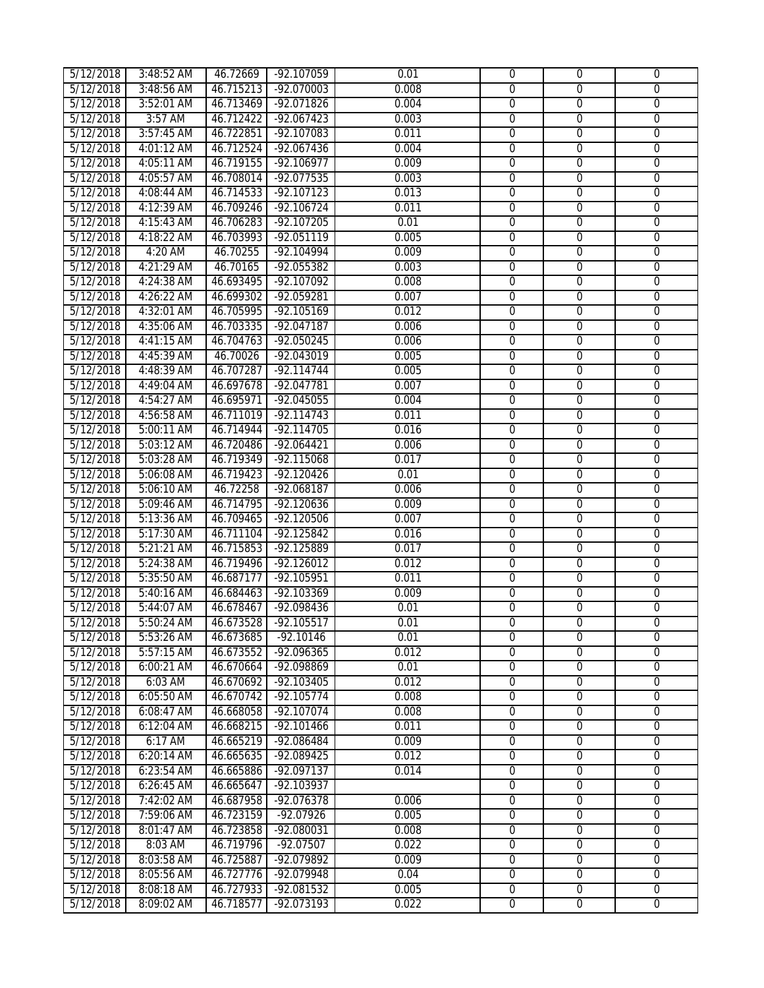| 5/12/2018 | 3:48:52 AM   | 46.72669  | $-92.107059$         | 0.01  | $\mathbf{0}$   | $\mathbf 0$    | $\mathbf{0}$     |
|-----------|--------------|-----------|----------------------|-------|----------------|----------------|------------------|
| 5/12/2018 | 3:48:56 AM   | 46.715213 | $-92.070003$         | 0.008 | $\mathbf{0}$   | $\mathbf{0}$   | 0                |
| 5/12/2018 | 3:52:01 AM   | 46.713469 | $-92.071826$         | 0.004 | $\overline{0}$ | $\overline{0}$ | $\overline{0}$   |
| 5/12/2018 | 3:57 AM      | 46.712422 | $-92.067423$         | 0.003 | $\overline{0}$ | $\overline{0}$ | $\overline{0}$   |
| 5/12/2018 | $3:57:45$ AM | 46.722851 | $-92.107083$         | 0.011 | $\overline{0}$ | $\overline{0}$ | $\overline{0}$   |
| 5/12/2018 | 4:01:12 AM   | 46.712524 | $-92.067436$         | 0.004 | $\overline{0}$ | $\overline{0}$ | $\overline{0}$   |
| 5/12/2018 | 4:05:11 AM   | 46.719155 | $-92.106977$         | 0.009 | $\overline{0}$ | $\overline{0}$ | $\overline{0}$   |
| 5/12/2018 | 4:05:57 AM   | 46.708014 | $-92.077535$         | 0.003 | $\overline{0}$ | $\overline{0}$ | $\overline{0}$   |
| 5/12/2018 | 4:08:44 AM   | 46.714533 | $-92.107123$         | 0.013 | $\overline{0}$ | $\overline{0}$ | $\overline{0}$   |
| 5/12/2018 | 4:12:39 AM   | 46.709246 | $-92.106724$         | 0.011 | $\overline{0}$ | $\overline{0}$ | $\overline{0}$   |
| 5/12/2018 | 4:15:43 AM   | 46.706283 | $-92.107205$         | 0.01  | $\overline{0}$ | $\overline{0}$ | $\overline{0}$   |
| 5/12/2018 | 4:18:22 AM   | 46.703993 | $-92.051119$         | 0.005 | $\overline{0}$ | $\overline{0}$ | $\overline{0}$   |
| 5/12/2018 | $4:20$ AM    | 46.70255  | $-92.104994$         | 0.009 | $\overline{0}$ | $\overline{0}$ | 0                |
| 5/12/2018 | 4:21:29 AM   | 46.70165  | $-92.055382$         | 0.003 | $\overline{0}$ | $\overline{0}$ | 0                |
| 5/12/2018 | 4:24:38 AM   | 46.693495 | $-92.107092$         | 0.008 | $\overline{0}$ | $\overline{0}$ | 0                |
| 5/12/2018 | 4:26:22 AM   | 46.699302 | -92.059281           | 0.007 | $\overline{0}$ | $\overline{0}$ | $\overline{0}$   |
| 5/12/2018 | 4:32:01 AM   | 46.705995 | $-92.105169$         | 0.012 | $\overline{0}$ | $\overline{0}$ | $\overline{0}$   |
| 5/12/2018 | 4:35:06 AM   | 46.703335 | $-92.047187$         | 0.006 | $\overline{0}$ | $\overline{0}$ | $\overline{0}$   |
| 5/12/2018 | 4:41:15 AM   | 46.704763 | $-92.050245$         | 0.006 | $\overline{0}$ | $\overline{0}$ | $\overline{0}$   |
| 5/12/2018 | 4:45:39 AM   | 46.70026  | $-92.043019$         | 0.005 | $\overline{0}$ | $\overline{0}$ | $\overline{0}$   |
| 5/12/2018 | 4:48:39 AM   | 46.707287 | $-92.114744$         | 0.005 | $\overline{0}$ | $\overline{0}$ | $\overline{0}$   |
| 5/12/2018 | 4:49:04 AM   | 46.697678 | $-92.047781$         | 0.007 | $\overline{0}$ | $\overline{0}$ | $\overline{0}$   |
| 5/12/2018 | 4:54:27 AM   | 46.695971 | $-92.045055$         | 0.004 | $\overline{0}$ | $\overline{0}$ | $\overline{0}$   |
| 5/12/2018 | 4:56:58 AM   | 46.711019 | $-92.114743$         | 0.011 | $\overline{0}$ | $\overline{0}$ | $\overline{0}$   |
| 5/12/2018 | 5:00:11 AM   | 46.714944 | $-92.114705$         | 0.016 | 0              | $\overline{0}$ | 0                |
| 5/12/2018 | 5:03:12 AM   | 46.720486 | $-92.064421$         | 0.006 | $\overline{0}$ | $\overline{0}$ | $\overline{0}$   |
| 5/12/2018 | 5:03:28 AM   | 46.719349 | $-92.115068$         | 0.017 | $\overline{0}$ | $\overline{0}$ | $\overline{0}$   |
| 5/12/2018 | 5:06:08 AM   | 46.719423 | $-92.120426$         | 0.01  | $\overline{0}$ | $\overline{0}$ | $\overline{0}$   |
| 5/12/2018 | 5:06:10 AM   | 46.72258  | $-92.068187$         | 0.006 | $\overline{0}$ | $\overline{0}$ | $\overline{0}$   |
| 5/12/2018 | 5:09:46 AM   | 46.714795 | $-92.120636$         | 0.009 | $\overline{0}$ | $\overline{0}$ | $\overline{0}$   |
| 5/12/2018 | 5:13:36 AM   | 46.709465 | $-92.120506$         | 0.007 | $\overline{0}$ | $\overline{0}$ | $\overline{0}$   |
| 5/12/2018 | 5:17:30 AM   | 46.711104 | $-92.125842$         | 0.016 | $\overline{0}$ | $\overline{0}$ | $\overline{0}$   |
| 5/12/2018 | 5:21:21 AM   | 46.715853 | $-92.125889$         | 0.017 | $\overline{0}$ | $\overline{0}$ | $\overline{0}$   |
| 5/12/2018 | 5:24:38 AM   | 46.719496 | $-92.126012$         | 0.012 | $\overline{0}$ | $\overline{0}$ | $\overline{0}$   |
| 5/12/2018 | 5:35:50 AM   | 46.687177 | $-92.105951$         | 0.011 | $\overline{0}$ | $\overline{0}$ | $\overline{0}$   |
| 5/12/2018 | 5:40:16 AM   | 46.684463 | -92.103369           | 0.009 | $\overline{0}$ | $\overline{0}$ | $\overline{0}$   |
| 5/12/2018 | 5:44:07 AM   | 46.678467 | $-92.098436$         | 0.01  | $\overline{0}$ | $\overline{0}$ | $\overline{0}$   |
| 5/12/2018 | 5:50:24 AM   |           | 46.673528 -92.105517 | 0.01  | $\overline{0}$ | $\overline{0}$ | $\overline{0}$   |
| 5/12/2018 | 5:53:26 AM   | 46.673685 | $-92.10146$          | 0.01  | $\Omega$       | $\Omega$       | $\Omega$         |
| 5/12/2018 | 5:57:15 AM   | 46.673552 | -92.096365           | 0.012 | $\Omega$       | 0              | 0                |
| 5/12/2018 | 6:00:21 AM   | 46.670664 | -92.098869           | 0.01  | 0              | $\overline{0}$ | 0                |
| 5/12/2018 | 6:03 AM      | 46.670692 | -92.103405           | 0.012 | 0              | 0              | 0                |
| 5/12/2018 | 6:05:50 AM   | 46.670742 | $-92.105774$         | 0.008 | 0              | $\mathbf 0$    | $\boldsymbol{0}$ |
| 5/12/2018 | 6:08:47 AM   | 46.668058 | -92.107074           | 0.008 | 0              | $\mathbf 0$    | $\overline{0}$   |
| 5/12/2018 | 6:12:04 AM   | 46.668215 | $-92.101466$         | 0.011 | $\overline{0}$ | $\overline{0}$ | $\overline{0}$   |
| 5/12/2018 | 6:17 AM      | 46.665219 | -92.086484           | 0.009 | $\overline{0}$ | $\overline{0}$ | $\overline{0}$   |
| 5/12/2018 | 6:20:14 AM   | 46.665635 | -92.089425           | 0.012 | $\overline{0}$ | $\overline{0}$ | $\overline{0}$   |
| 5/12/2018 | 6:23:54 AM   | 46.665886 | $-92.097137$         | 0.014 | $\overline{0}$ | $\overline{0}$ | $\overline{0}$   |
| 5/12/2018 | 6:26:45 AM   | 46.665647 | -92.103937           |       | $\overline{0}$ | $\mathbf 0$    | $\overline{0}$   |
| 5/12/2018 | 7:42:02 AM   | 46.687958 | $-92.076378$         | 0.006 | $\overline{0}$ | $\overline{0}$ | $\overline{0}$   |
| 5/12/2018 | 7:59:06 AM   | 46.723159 | $-92.07926$          | 0.005 | $\overline{0}$ | $\mathbf 0$    | $\overline{0}$   |
| 5/12/2018 | 8:01:47 AM   | 46.723858 | $-92.080031$         | 0.008 | $\overline{0}$ | $\overline{0}$ | $\overline{0}$   |
| 5/12/2018 | 8:03 AM      | 46.719796 | -92.07507            | 0.022 | $\overline{0}$ | $\overline{0}$ | $\overline{0}$   |
| 5/12/2018 | 8:03:58 AM   | 46.725887 | -92.079892           | 0.009 | $\overline{0}$ | 0              | $\overline{0}$   |
| 5/12/2018 | 8:05:56 AM   | 46.727776 | -92.079948           | 0.04  | 0              | 0              | 0                |
| 5/12/2018 | 8:08:18 AM   | 46.727933 | -92.081532           | 0.005 | $\overline{0}$ | $\overline{0}$ | $\overline{0}$   |
|           |              |           | $-92.073193$         | 0.022 | $\overline{0}$ | $\overline{0}$ | $\overline{0}$   |
| 5/12/2018 | 8:09:02 AM   | 46.718577 |                      |       |                |                |                  |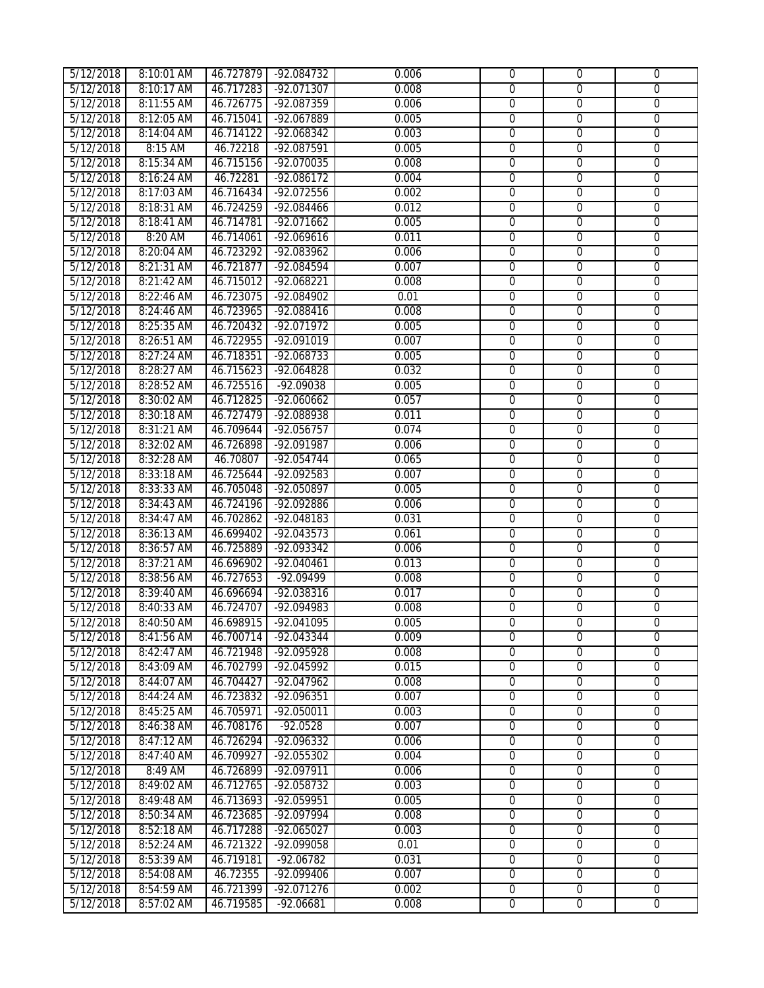| 5/12/2018 | 8:10:01 AM | 46.727879 | -92.084732           | 0.006 | $\mathbf 0$    | $\mathbf{0}$   | $\mathbf 0$    |
|-----------|------------|-----------|----------------------|-------|----------------|----------------|----------------|
| 5/12/2018 | 8:10:17 AM | 46.717283 | $-92.071307$         | 0.008 | $\overline{0}$ | $\overline{0}$ | $\overline{0}$ |
| 5/12/2018 | 8:11:55 AM | 46.726775 | -92.087359           | 0.006 | $\overline{0}$ | $\overline{0}$ | $\overline{0}$ |
| 5/12/2018 | 8:12:05 AM | 46.715041 | $-92.067889$         | 0.005 | $\overline{0}$ | $\overline{0}$ | $\overline{0}$ |
| 5/12/2018 | 8:14:04 AM | 46.714122 | $-92.068342$         | 0.003 | $\overline{0}$ | $\overline{0}$ | $\overline{0}$ |
| 5/12/2018 | 8:15 AM    | 46.72218  | $-92.087591$         | 0.005 | $\mathbf 0$    | $\overline{0}$ | $\overline{0}$ |
| 5/12/2018 | 8:15:34 AM | 46.715156 | $-92.070035$         | 0.008 | $\overline{0}$ | $\overline{0}$ | $\overline{0}$ |
| 5/12/2018 | 8:16:24 AM | 46.72281  | $-92.086172$         | 0.004 | $\overline{0}$ | $\overline{0}$ | $\overline{0}$ |
| 5/12/2018 | 8:17:03 AM | 46.716434 | $-92.072556$         | 0.002 | $\overline{0}$ | $\overline{0}$ | $\overline{0}$ |
| 5/12/2018 | 8:18:31 AM | 46.724259 | $-92.084466$         | 0.012 | $\overline{0}$ | $\overline{0}$ | $\overline{0}$ |
| 5/12/2018 | 8:18:41 AM | 46.714781 | $-92.071662$         | 0.005 | 0              | $\overline{0}$ | 0              |
| 5/12/2018 | 8:20 AM    | 46.714061 | $-92.069616$         | 0.011 | 0              | $\overline{0}$ | 0              |
| 5/12/2018 | 8:20:04 AM | 46.723292 | $-92.083962$         | 0.006 | $\overline{0}$ | $\overline{0}$ | $\overline{0}$ |
| 5/12/2018 | 8:21:31 AM | 46.721877 | $-92.084594$         | 0.007 | $\overline{0}$ | $\overline{0}$ | $\overline{0}$ |
| 5/12/2018 | 8:21:42 AM | 46.715012 | $-92.068221$         | 0.008 | $\overline{0}$ | $\overline{0}$ | $\overline{0}$ |
| 5/12/2018 | 8:22:46 AM | 46.723075 | $-92.084902$         | 0.01  | $\overline{0}$ | $\overline{0}$ | $\overline{0}$ |
| 5/12/2018 | 8:24:46 AM | 46.723965 | -92.088416           | 0.008 | $\overline{0}$ | $\overline{0}$ | $\overline{0}$ |
| 5/12/2018 | 8:25:35 AM | 46.720432 | $-92.071972$         | 0.005 | $\overline{0}$ | $\overline{0}$ | $\overline{0}$ |
| 5/12/2018 | 8:26:51 AM | 46.722955 | $-92.091019$         | 0.007 | $\overline{0}$ | $\overline{0}$ | $\overline{0}$ |
| 5/12/2018 | 8:27:24 AM | 46.718351 | $-92.068733$         | 0.005 | $\overline{0}$ | $\overline{0}$ | $\overline{0}$ |
| 5/12/2018 | 8:28:27 AM | 46.715623 | $-92.064828$         | 0.032 | 0              | $\overline{0}$ | 0              |
| 5/12/2018 | 8:28:52 AM | 46.725516 | $-92.09038$          | 0.005 | 0              | $\overline{0}$ | $\overline{0}$ |
| 5/12/2018 | 8:30:02 AM | 46.712825 | $-92.060662$         | 0.057 | $\overline{0}$ | $\overline{0}$ | $\overline{0}$ |
| 5/12/2018 | 8:30:18 AM | 46.727479 | -92.088938           | 0.011 | $\overline{0}$ | $\overline{0}$ | $\overline{0}$ |
| 5/12/2018 | 8:31:21 AM | 46.709644 | $-92.056757$         | 0.074 | $\overline{0}$ | $\overline{0}$ | $\overline{0}$ |
| 5/12/2018 | 8:32:02 AM | 46.726898 | $-92.091987$         | 0.006 | $\overline{0}$ | $\overline{0}$ | $\overline{0}$ |
| 5/12/2018 | 8:32:28 AM | 46.70807  | $-92.054744$         | 0.065 | $\overline{0}$ | $\overline{0}$ | $\overline{0}$ |
| 5/12/2018 | 8:33:18 AM | 46.725644 | $-92.092583$         | 0.007 | $\overline{0}$ | $\overline{0}$ | $\overline{0}$ |
| 5/12/2018 | 8:33:33 AM | 46.705048 | -92.050897           | 0.005 | $\overline{0}$ | $\overline{0}$ | $\overline{0}$ |
| 5/12/2018 | 8:34:43 AM | 46.724196 | -92.092886           | 0.006 | $\overline{0}$ | $\overline{0}$ | $\overline{0}$ |
| 5/12/2018 | 8:34:47 AM | 46.702862 | $-92.048183$         | 0.031 | $\overline{0}$ | $\overline{0}$ | $\overline{0}$ |
| 5/12/2018 | 8:36:13 AM | 46.699402 | $-92.043573$         | 0.061 | $\overline{0}$ | $\overline{0}$ | $\overline{0}$ |
| 5/12/2018 | 8:36:57 AM | 46.725889 | $-92.093342$         | 0.006 | $\overline{0}$ | $\overline{0}$ | $\overline{0}$ |
| 5/12/2018 | 8:37:21 AM | 46.696902 | $-92.040461$         | 0.013 | $\overline{0}$ | $\overline{0}$ | $\overline{0}$ |
| 5/12/2018 | 8:38:56 AM | 46.727653 | $-92.09499$          | 0.008 | $\overline{0}$ | $\overline{0}$ | $\overline{0}$ |
| 5/12/2018 | 8:39:40 AM | 46.696694 | $-92.038316$         | 0.017 | 0              | $\overline{0}$ | 0              |
| 5/12/2018 | 8:40:33 AM | 46.724707 | $-92.094983$         | 0.008 | 0              | 0              | 0              |
| 5/12/2018 | 8:40:50 AM |           | 46.698915 -92.041095 | 0.005 | $\overline{0}$ | 0              | $\overline{0}$ |
| 5/12/2018 | 8:41:56 AM | 46.700714 | -92.043344           | 0.009 | $\Omega$       | $\Omega$       | $\Omega$       |
| 5/12/2018 | 8:42:47 AM | 46.721948 | -92.095928           | 0.008 | $\overline{0}$ | $\Omega$       | 0              |
| 5/12/2018 | 8:43:09 AM | 46.702799 | -92.045992           | 0.015 | $\overline{0}$ | $\mathbf 0$    | $\overline{0}$ |
| 5/12/2018 | 8:44:07 AM | 46.704427 | $-92.047962$         | 0.008 | $\mathbf 0$    | $\overline{0}$ | $\overline{0}$ |
| 5/12/2018 | 8:44:24 AM | 46.723832 | -92.096351           | 0.007 | $\overline{0}$ | $\mathbf{0}$   | $\overline{0}$ |
| 5/12/2018 | 8:45:25 AM | 46.705971 | $-92.050011$         | 0.003 | $\overline{0}$ | $\overline{0}$ | $\overline{0}$ |
| 5/12/2018 | 8:46:38 AM | 46.708176 | $-92.0528$           | 0.007 | $\overline{0}$ | $\overline{0}$ | $\overline{0}$ |
| 5/12/2018 | 8:47:12 AM | 46.726294 | -92.096332           | 0.006 | $\overline{0}$ | $\overline{0}$ | $\overline{0}$ |
| 5/12/2018 | 8:47:40 AM | 46.709927 | $-92.055302$         | 0.004 | $\overline{0}$ | $\mathbf{0}$   | $\overline{0}$ |
| 5/12/2018 | 8:49 AM    | 46.726899 | $-92.097911$         | 0.006 | $\overline{0}$ | $\mathbf 0$    | $\overline{0}$ |
| 5/12/2018 | 8:49:02 AM | 46.712765 | -92.058732           | 0.003 | $\overline{0}$ | $\overline{0}$ | $\overline{0}$ |
| 5/12/2018 | 8:49:48 AM | 46.713693 | -92.059951           | 0.005 | $\overline{0}$ | $\overline{0}$ | $\overline{0}$ |
| 5/12/2018 | 8:50:34 AM | 46.723685 | $-92.097994$         | 0.008 | $\overline{0}$ | 0              | $\overline{0}$ |
| 5/12/2018 | 8:52:18 AM | 46.717288 | -92.065027           | 0.003 | $\overline{0}$ | $\mathbf 0$    | $\overline{0}$ |
| 5/12/2018 | 8:52:24 AM | 46.721322 | -92.099058           | 0.01  | $\overline{0}$ | $\overline{0}$ | $\overline{0}$ |
| 5/12/2018 | 8:53:39 AM | 46.719181 | $-92.06782$          | 0.031 | $\overline{0}$ | $\overline{0}$ | $\overline{0}$ |
| 5/12/2018 | 8:54:08 AM | 46.72355  | -92.099406           | 0.007 | $\overline{0}$ | $\overline{0}$ | $\overline{0}$ |
| 5/12/2018 | 8:54:59 AM | 46.721399 | $-92.071276$         | 0.002 | $\overline{0}$ | $\overline{0}$ | $\overline{0}$ |
| 5/12/2018 | 8:57:02 AM | 46.719585 | $-92.06681$          | 0.008 | $\overline{0}$ | $\overline{0}$ | $\overline{0}$ |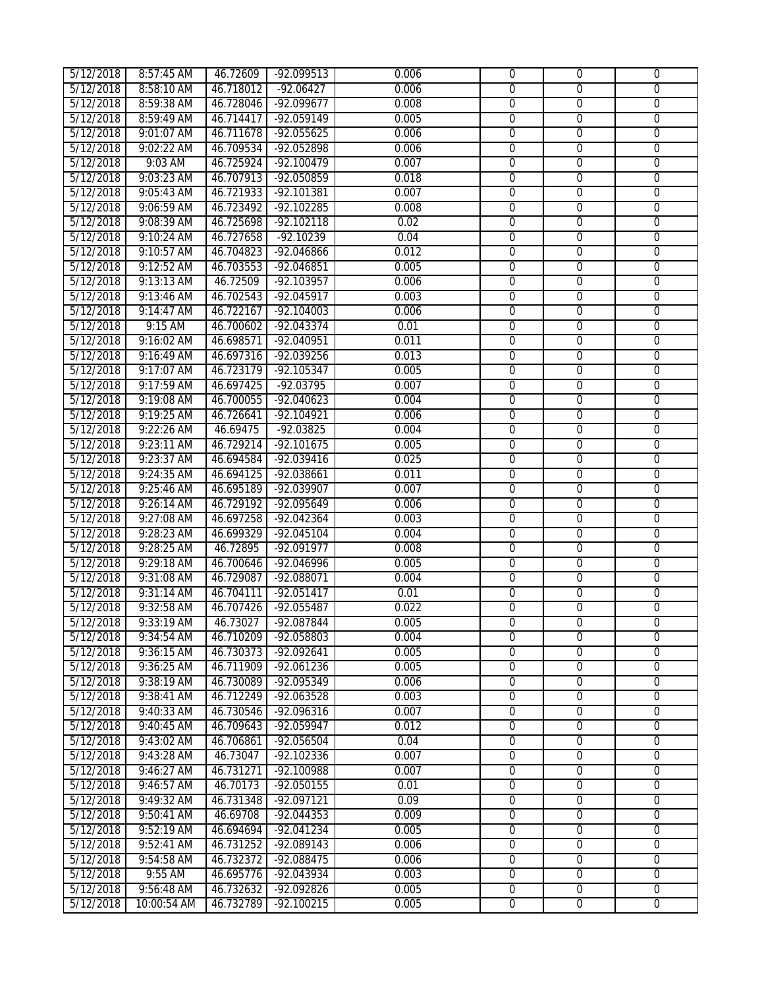| 5/12/2018              | 8:57:45 AM            | 46.72609               | $-92.099513$               | 0.006          | $\mathbf 0$                      | $\overline{0}$                   | $\mathbf{0}$                     |
|------------------------|-----------------------|------------------------|----------------------------|----------------|----------------------------------|----------------------------------|----------------------------------|
| 5/12/2018              | 8:58:10 AM            | 46.718012              | $-92.06427$                | 0.006          | $\overline{0}$                   | $\overline{0}$                   | $\overline{0}$                   |
| 5/12/2018              | 8:59:38 AM            | 46.728046              | $-92.099677$               | 0.008          | $\overline{0}$                   | $\overline{0}$                   | $\overline{0}$                   |
| 5/12/2018              | 8:59:49 AM            | 46.714417              | $-92.059149$               | 0.005          | $\overline{0}$                   | $\overline{0}$                   | $\overline{0}$                   |
| 5/12/2018              | 9:01:07 AM            | 46.711678              | $-92.055625$               | 0.006          | $\overline{0}$                   | $\overline{0}$                   | $\overline{0}$                   |
| 5/12/2018              | 9:02:22 AM            | 46.709534              | $-92.052898$               | 0.006          | $\mathbf 0$                      | $\overline{0}$                   | $\overline{0}$                   |
| 5/12/2018              | 9:03 AM               | 46.725924              | $-92.100479$               | 0.007          | $\overline{0}$                   | $\overline{0}$                   | $\overline{0}$                   |
| 5/12/2018              | 9:03:23 AM            | 46.707913              | $-92.050859$               | 0.018          | $\overline{0}$                   | $\overline{0}$                   | $\overline{0}$                   |
| 5/12/2018              | 9:05:43 AM            | 46.721933              | $-92.101381$               | 0.007          | $\overline{0}$                   | $\overline{0}$                   | $\overline{0}$                   |
| 5/12/2018              | 9:06:59 AM            | 46.723492              | $-92.102285$               | 0.008          | $\overline{0}$                   | $\overline{0}$                   | $\overline{0}$                   |
| 5/12/2018              | 9:08:39 AM            | 46.725698              | $-92.102118$               | 0.02           | $\overline{0}$                   | $\overline{0}$                   | $\overline{0}$                   |
| 5/12/2018              | 9:10:24 AM            | 46.727658              | $-92.10239$                | 0.04           | $\overline{0}$                   | $\overline{0}$                   | 0                                |
| 5/12/2018              | 9:10:57 AM            | 46.704823              | -92.046866                 | 0.012          | $\overline{0}$                   | $\overline{0}$                   | $\overline{0}$                   |
| 5/12/2018              | 9:12:52 AM            | 46.703553              | $-92.046851$               | 0.005          | $\overline{0}$                   | $\overline{0}$                   | $\overline{0}$                   |
| 5/12/2018              | 9:13:13 AM            | 46.72509               | $-92.103957$               | 0.006          | $\overline{0}$                   | $\overline{0}$                   | $\overline{0}$                   |
| 5/12/2018              | 9:13:46 AM            | 46.702543              | -92.045917                 | 0.003          | $\overline{0}$                   | $\overline{0}$                   | $\overline{0}$                   |
| 5/12/2018              | 9:14:47 AM            | 46.722167              | $-92.104003$               | 0.006          | $\overline{0}$                   | $\overline{0}$                   | $\overline{0}$                   |
| 5/12/2018              | $9:15$ AM             | 46.700602              | $-92.043374$               | 0.01           | $\overline{0}$                   | $\overline{0}$                   | $\overline{0}$                   |
| 5/12/2018              | 9:16:02 AM            | 46.698571              | $-92.040951$               | 0.011          | 0                                | $\overline{0}$                   | 0                                |
| 5/12/2018              | 9:16:49 AM            | 46.697316              | -92.039256                 | 0.013          | $\overline{0}$                   | $\overline{0}$                   | $\overline{0}$                   |
| 5/12/2018              | 9:17:07 AM            | 46.723179              | $-92.105347$               | 0.005          | 0                                | $\overline{0}$                   | 0                                |
| 5/12/2018              | 9:17:59 AM            | 46.697425              | $-92.03795$                | 0.007          | $\overline{0}$                   | $\overline{0}$                   | $\overline{0}$                   |
| 5/12/2018              | 9:19:08 AM            | 46.700055              | $-92.040623$               | 0.004          | $\overline{0}$                   | $\overline{0}$                   | $\overline{0}$                   |
| 5/12/2018              | 9:19:25 AM            | 46.726641              | $-92.104921$               | 0.006          | $\overline{0}$                   | $\overline{0}$                   | $\overline{0}$                   |
| 5/12/2018              | 9:22:26 AM            | 46.69475               | $-92.03825$                | 0.004          | $\overline{0}$                   | $\overline{0}$                   | $\overline{0}$                   |
| 5/12/2018              | 9:23:11 AM            | 46.729214              | $-92.101675$               | 0.005          | $\overline{0}$                   | $\overline{0}$                   | $\overline{0}$                   |
| 5/12/2018              | 9:23:37 AM            | 46.694584              | $-92.039416$               | 0.025          | $\overline{0}$                   | $\overline{0}$                   | $\overline{0}$                   |
| 5/12/2018              | 9:24:35 AM            | 46.694125              | $-92.038661$               | 0.011          | $\overline{0}$                   | $\overline{0}$                   | $\overline{0}$                   |
| 5/12/2018              | 9:25:46 AM            | 46.695189              | $-92.039907$               | 0.007          | $\overline{0}$                   | $\overline{0}$                   | $\overline{0}$                   |
| 5/12/2018              | 9:26:14 AM            | 46.729192              | $-92.095649$               | 0.006          | $\overline{0}$                   | $\overline{0}$                   | $\overline{0}$                   |
| 5/12/2018              | 9:27:08 AM            | 46.697258              | $-92.042364$               | 0.003          | $\overline{0}$                   | $\overline{0}$                   | $\overline{0}$                   |
| 5/12/2018              | 9:28:23 AM            | 46.699329              | $-92.045104$               | 0.004          | $\overline{0}$                   | $\overline{0}$                   | $\overline{0}$                   |
| 5/12/2018              | 9:28:25 AM            | 46.72895               | $-92.091977$               | 0.008          | $\overline{0}$                   | $\overline{0}$                   | $\overline{0}$                   |
| 5/12/2018              | 9:29:18 AM            | 46.700646              | -92.046996                 | 0.005          | $\overline{0}$                   | $\overline{0}$                   | $\overline{0}$                   |
| 5/12/2018              | 9:31:08 AM            | 46.729087              | $-92.088071$               | 0.004          | $\overline{0}$                   | $\overline{0}$                   | $\overline{0}$                   |
| 5/12/2018              | 9:31:14 AM            | 46.704111              | $-92.051417$               | 0.01           | 0                                | 0                                | 0                                |
| 5/12/2018              | 9:32:58 AM            | 46.707426              | -92.055487                 | 0.022          | 0                                | 0                                | 0                                |
| 5/12/2018              | 9:33:19 AM            | 46.73027               | $-92.087844$               | 0.005          | $\overline{0}$                   | $\overline{0}$                   | $\overline{0}$                   |
| 5/12/2018              | 9:34:54 AM            | 46.710209              | -92.058803                 | 0.004          | $\Omega$                         | $\Omega$                         | $\Omega$                         |
| 5/12/2018              | 9:36:15 AM            | 46.730373              | -92.092641                 | 0.005          | $\Omega$                         | $\overline{0}$                   | 0                                |
| 5/12/2018              | 9:36:25 AM            | 46.711909              | -92.061236                 | 0.005          | 0                                | $\mathbf 0$                      | $\overline{0}$                   |
| 5/12/2018              | 9:38:19 AM            | 46.730089              | -92.095349                 | 0.006          | $\overline{0}$                   | $\mathbf 0$                      | $\overline{0}$                   |
| 5/12/2018              | 9:38:41 AM            | 46.712249              | -92.063528                 | 0.003          | $\overline{0}$                   | $\mathbf 0$                      | $\overline{0}$                   |
| 5/12/2018              | 9:40:33 AM            | 46.730546              | $-92.096316$               | 0.007          | $\overline{0}$                   | $\overline{0}$                   | $\overline{0}$                   |
| 5/12/2018              | 9:40:45 AM            | 46.709643              | $-92.059947$               | 0.012          | $\overline{0}$                   | $\overline{0}$                   | $\overline{0}$                   |
| 5/12/2018              | 9:43:02 AM            | 46.706861              | -92.056504                 | 0.04           | $\overline{0}$                   | $\overline{0}$                   | $\overline{0}$                   |
| 5/12/2018              | 9:43:28 AM            | 46.73047               | $-92.102336$               | 0.007          | $\overline{0}$                   | $\overline{0}$                   | $\overline{0}$                   |
| 5/12/2018              | 9:46:27 AM            | 46.731271              | $-92.100988$               | 0.007          | 0                                | $\mathbf 0$                      | 0                                |
| 5/12/2018              | 9:46:57 AM            | 46.70173               | $-92.050155$               | 0.01           | $\overline{0}$                   | $\overline{0}$                   | $\overline{0}$                   |
| 5/12/2018              | 9:49:32 AM            | 46.731348              | $-92.097121$               | 0.09           | $\overline{0}$                   | $\overline{0}$                   | $\overline{0}$                   |
| 5/12/2018              | 9:50:41 AM            | 46.69708               | -92.044353                 | 0.009          | $\overline{0}$                   | $\overline{0}$                   | $\overline{0}$                   |
| 5/12/2018              | 9:52:19 AM            | 46.694694              | -92.041234                 | 0.005          | $\overline{0}$                   | $\overline{0}$                   | $\overline{0}$                   |
| 5/12/2018              | 9:52:41 AM            | 46.731252              | -92.089143                 | 0.006          | $\overline{0}$                   | $\overline{0}$                   | $\overline{0}$                   |
| 5/12/2018              | 9:54:58 AM            | 46.732372              | -92.088475                 | 0.006          | $\overline{0}$                   | $\overline{0}$                   | $\overline{0}$                   |
| 5/12/2018<br>5/12/2018 | 9:55 AM<br>9:56:48 AM | 46.695776<br>46.732632 | -92.043934<br>$-92.092826$ | 0.003<br>0.005 | $\overline{0}$<br>$\overline{0}$ | $\overline{0}$<br>$\overline{0}$ | $\overline{0}$<br>$\overline{0}$ |
| 5/12/2018              | 10:00:54 AM           | 46.732789              | $-92.100215$               | 0.005          | $\overline{0}$                   | $\overline{0}$                   | $\overline{0}$                   |
|                        |                       |                        |                            |                |                                  |                                  |                                  |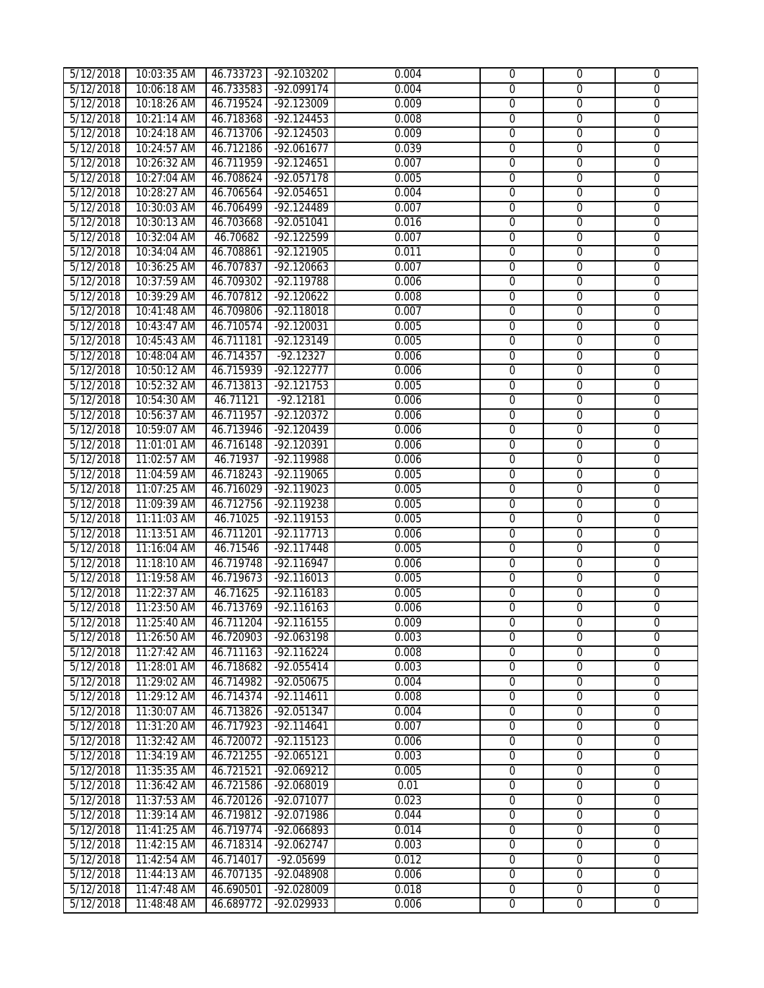| 5/12/2018              | 10:03:35 AM                | 46.733723              | -92.103202                           | 0.004          | $\mathbf 0$    | $\mathbf 0$          | $\mathbf{0}$        |
|------------------------|----------------------------|------------------------|--------------------------------------|----------------|----------------|----------------------|---------------------|
| 5/12/2018              | 10:06:18 AM                | 46.733583              | $-92.099174$                         | 0.004          | $\overline{0}$ | $\overline{0}$       | $\overline{0}$      |
| 5/12/2018              | 10:18:26 AM                | 46.719524              | $-92.123009$                         | 0.009          | $\overline{0}$ | $\overline{0}$       | $\overline{0}$      |
| 5/12/2018              | 10:21:14 AM                | 46.718368              | $-92.124453$                         | 0.008          | $\overline{0}$ | $\overline{0}$       | $\overline{0}$      |
| 5/12/2018              | 10:24:18 AM                | 46.713706              | $-92.124503$                         | 0.009          | $\overline{0}$ | $\overline{0}$       | $\overline{0}$      |
| 5/12/2018              | 10:24:57 AM                | 46.712186              | $-92.061677$                         | 0.039          | $\mathbf 0$    | $\overline{0}$       | $\overline{0}$      |
| 5/12/2018              | 10:26:32 AM                | 46.711959              | $-92.124651$                         | 0.007          | $\overline{0}$ | $\overline{0}$       | $\overline{0}$      |
| 5/12/2018              | 10:27:04 AM                | 46.708624              | $-92.057178$                         | 0.005          | $\overline{0}$ | $\overline{0}$       | $\overline{0}$      |
| 5/12/2018              | 10:28:27 AM                | 46.706564              | $-92.054651$                         | 0.004          | $\overline{0}$ | $\overline{0}$       | $\overline{0}$      |
| 5/12/2018              | 10:30:03 AM                | 46.706499              | $-92.124489$                         | 0.007          | $\overline{0}$ | $\overline{0}$       | $\overline{0}$      |
| 5/12/2018              | 10:30:13 AM                | 46.703668              | $-92.051041$                         | 0.016          | 0              | $\overline{0}$       | 0                   |
| 5/12/2018              | 10:32:04 AM                | 46.70682               | -92.122599                           | 0.007          | 0              | $\overline{0}$       | 0                   |
| 5/12/2018              | 10:34:04 AM                | 46.708861              | $-92.121905$                         | 0.011          | $\overline{0}$ | $\overline{0}$       | $\overline{0}$      |
| 5/12/2018              | 10:36:25 AM                | 46.707837              | $-92.120663$                         | 0.007          | $\overline{0}$ | $\overline{0}$       | $\overline{0}$      |
| 5/12/2018              | 10:37:59 AM                | 46.709302              | $-92.119788$                         | 0.006          | $\overline{0}$ | $\overline{0}$       | $\overline{0}$      |
| 5/12/2018              | 10:39:29 AM                | 46.707812              | $-92.120622$                         | 0.008          | $\overline{0}$ | $\overline{0}$       | $\overline{0}$      |
| 5/12/2018              | 10:41:48 AM                | 46.709806              | $-92.118018$                         | 0.007          | $\overline{0}$ | $\overline{0}$       | $\overline{0}$      |
| 5/12/2018              | 10:43:47 AM                | 46.710574              | $-92.120031$                         | 0.005          | $\overline{0}$ | $\overline{0}$       | $\overline{0}$      |
| 5/12/2018              | 10:45:43 AM                | 46.711181              | $-92.123149$                         | 0.005          | $\overline{0}$ | $\overline{0}$       | $\overline{0}$      |
| 5/12/2018              | 10:48:04 AM                | 46.714357              | $-92.12327$                          | 0.006          | $\overline{0}$ | $\overline{0}$       | $\overline{0}$      |
| 5/12/2018              | 10:50:12 AM                | 46.715939              | $-92.122777$                         | 0.006          | 0              | $\overline{0}$       | 0                   |
| 5/12/2018              | 10:52:32 AM                | 46.713813              | $-92.121753$                         | 0.005          | 0              | $\overline{0}$       | 0                   |
| 5/12/2018              | 10:54:30 AM                | 46.71121               | $-92.12181$                          | 0.006          | $\overline{0}$ | $\overline{0}$       | $\overline{0}$      |
| 5/12/2018              | 10:56:37 AM                | 46.711957              | $-92.120372$                         | 0.006          | $\overline{0}$ | $\overline{0}$       | $\overline{0}$      |
| 5/12/2018              | 10:59:07 AM                | 46.713946              | $-92.120439$                         | 0.006          | $\overline{0}$ | $\overline{0}$       | $\overline{0}$      |
| 5/12/2018              | 11:01:01 AM                | 46.716148              | $-92.120391$                         | 0.006          | $\overline{0}$ | $\overline{0}$       | $\overline{0}$      |
| 5/12/2018              | 11:02:57 AM                | 46.71937               | $-92.119988$                         | 0.006          | $\overline{0}$ | $\overline{0}$       | $\overline{0}$      |
| 5/12/2018              | 11:04:59 AM                | 46.718243              | $-92.119065$                         | 0.005          | $\overline{0}$ | $\overline{0}$       | $\overline{0}$      |
| 5/12/2018              | 11:07:25 AM                | 46.716029              | $-92.119023$                         | 0.005          | $\overline{0}$ | $\overline{0}$       | $\overline{0}$      |
| 5/12/2018              | 11:09:39 AM                | 46.712756              | $-92.119238$                         | 0.005          | $\overline{0}$ | $\overline{0}$       | $\overline{0}$      |
| 5/12/2018              | 11:11:03 AM                | 46.71025               | $-92.119153$                         | 0.005          | $\overline{0}$ | $\overline{0}$       | $\overline{0}$      |
| 5/12/2018              | 11:13:51 AM                | 46.711201              | $-92.117713$                         | 0.006          | $\overline{0}$ | $\overline{0}$       | $\overline{0}$      |
| 5/12/2018              | 11:16:04 AM                | 46.71546               | $-92.117448$                         | 0.005          | $\overline{0}$ | $\overline{0}$       | $\overline{0}$      |
| 5/12/2018              | 11:18:10 AM                | 46.719748              | $-92.116947$                         | 0.006          | $\overline{0}$ | $\overline{0}$       | $\overline{0}$      |
| 5/12/2018              | 11:19:58 AM                | 46.719673              | $-92.116013$                         | 0.005          | $\overline{0}$ | $\overline{0}$       | $\overline{0}$      |
| 5/12/2018              | 11:22:37 AM                | 46.71625               | $-92.116183$                         | 0.005          | 0              | $\overline{0}$       | 0                   |
| 5/12/2018              | 11:23:50 AM                | 46.713769              | $-92.116163$<br>46.711204 -92.116155 | 0.006          | 0              | 0                    | 0                   |
| 5/12/2018              | 11:25:40 AM                |                        |                                      | 0.009          | $\overline{0}$ | 0                    | $\overline{0}$      |
| 5/12/2018              | 11:26:50 AM                | 46.720903              | -92.063198                           | 0.003          | $\Omega$<br>0  | $\Omega$<br>$\Omega$ | $\Omega$            |
| 5/12/2018<br>5/12/2018 | 11:27:42 AM                | 46.711163              | $-92.116224$                         | 0.008<br>0.003 | $\overline{0}$ | $\mathbf 0$          | 0<br>$\overline{0}$ |
| 5/12/2018              | 11:28:01 AM<br>11:29:02 AM | 46.718682<br>46.714982 | $-92.055414$<br>$-92.050675$         | 0.004          | $\mathbf 0$    | $\overline{0}$       | $\overline{0}$      |
| 5/12/2018              | 11:29:12 AM                | 46.714374              | $-92.114611$                         | 0.008          | $\overline{0}$ | $\mathbf{0}$         | $\overline{0}$      |
| 5/12/2018              | 11:30:07 AM                | 46.713826              | -92.051347                           | 0.004          | $\overline{0}$ | $\overline{0}$       | $\overline{0}$      |
| 5/12/2018              | 11:31:20 AM                | 46.717923              | $-92.114641$                         | 0.007          | $\overline{0}$ | $\mathbf 0$          | $\overline{0}$      |
| 5/12/2018              | 11:32:42 AM                | 46.720072              | $-92.115123$                         | 0.006          | $\overline{0}$ | $\overline{0}$       | $\overline{0}$      |
| 5/12/2018              | 11:34:19 AM                | 46.721255              | $-92.065121$                         | 0.003          | $\overline{0}$ | $\boldsymbol{0}$     | $\overline{0}$      |
| 5/12/2018              | 11:35:35 AM                | 46.721521              | $-92.069212$                         | 0.005          | $\overline{0}$ | $\mathbf 0$          | 0                   |
| 5/12/2018              | 11:36:42 AM                | 46.721586              | -92.068019                           | 0.01           | $\overline{0}$ | $\overline{0}$       | $\overline{0}$      |
| 5/12/2018              | 11:37:53 AM                | 46.720126              | -92.071077                           | 0.023          | $\overline{0}$ | $\overline{0}$       | $\overline{0}$      |
| 5/12/2018              | 11:39:14 AM                | 46.719812              | -92.071986                           | 0.044          | $\overline{0}$ | 0                    | $\overline{0}$      |
| 5/12/2018              | 11:41:25 AM                | 46.719774              | -92.066893                           | 0.014          | $\overline{0}$ | $\mathbf 0$          | $\overline{0}$      |
| 5/12/2018              | 11:42:15 AM                | 46.718314              | $-92.062747$                         | 0.003          | $\overline{0}$ | $\overline{0}$       | $\overline{0}$      |
| 5/12/2018              | 11:42:54 AM                | 46.714017              | -92.05699                            | 0.012          | $\overline{0}$ | $\overline{0}$       | $\overline{0}$      |
| 5/12/2018              | 11:44:13 AM                | 46.707135              | -92.048908                           | 0.006          | $\overline{0}$ | $\overline{0}$       | $\overline{0}$      |
| 5/12/2018              | 11:47:48 AM                | 46.690501              | -92.028009                           | 0.018          | $\overline{0}$ | $\overline{0}$       | $\overline{0}$      |
| 5/12/2018              | 11:48:48 AM                | 46.689772              | -92.029933                           | 0.006          | $\overline{0}$ | $\overline{0}$       | $\overline{0}$      |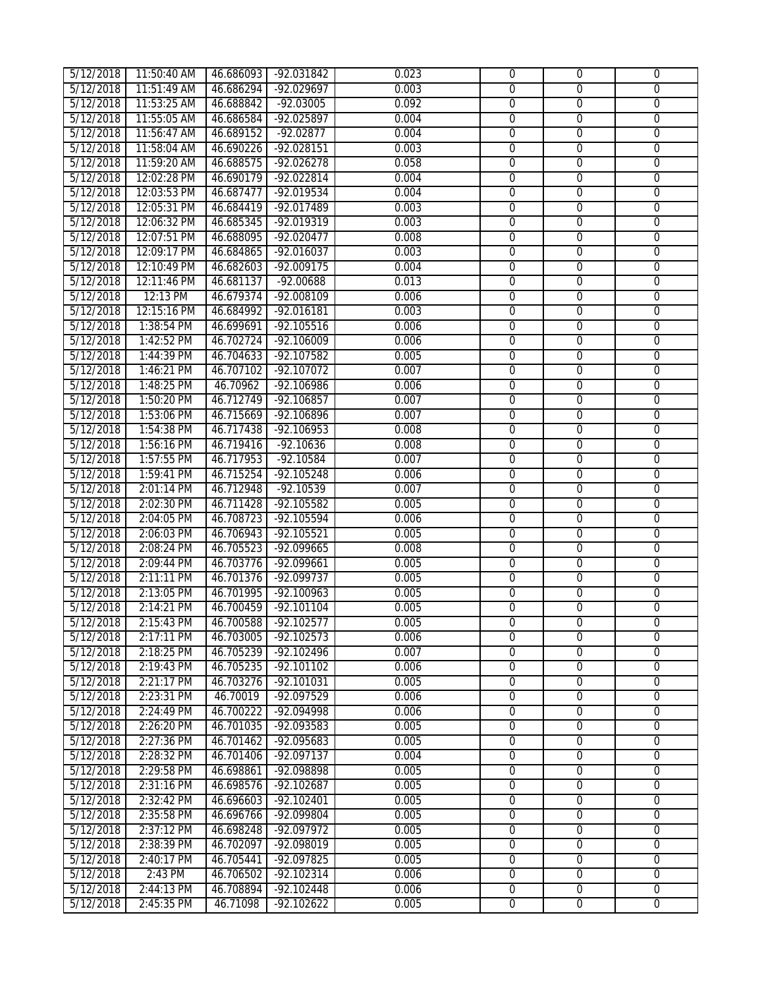| 5/12/2018              | 11:50:40 AM              | 46.686093              | -92.031842                 | 0.023          | $\overline{0}$                   | $\overline{0}$                | $\overline{0}$                   |
|------------------------|--------------------------|------------------------|----------------------------|----------------|----------------------------------|-------------------------------|----------------------------------|
| 5/12/2018              | 11:51:49 AM              | 46.686294              | $-92.029697$               | 0.003          | $\overline{0}$                   | $\overline{0}$                | $\overline{0}$                   |
| 5/12/2018              | 11:53:25 AM              | 46.688842              | $-92.03005$                | 0.092          | $\overline{0}$                   | $\overline{0}$                | $\overline{0}$                   |
| 5/12/2018              | 11:55:05 AM              | 46.686584              | $-92.025897$               | 0.004          | $\overline{0}$                   | $\overline{0}$                | $\overline{0}$                   |
| 5/12/2018              | 11:56:47 AM              | 46.689152              | $-92.02877$                | 0.004          | $\overline{0}$                   | $\overline{0}$                | $\overline{0}$                   |
| 5/12/2018              | 11:58:04 AM              | 46.690226              | $-92.028151$               | 0.003          | $\mathbf 0$                      | $\overline{0}$                | $\overline{0}$                   |
| 5/12/2018              | 11:59:20 AM              | 46.688575              | $-92.026278$               | 0.058          | $\overline{0}$                   | $\overline{0}$                | 0                                |
| 5/12/2018              | 12:02:28 PM              | 46.690179              | $-92.022814$               | 0.004          | $\overline{0}$                   | $\overline{0}$                | $\overline{0}$                   |
| 5/12/2018              | 12:03:53 PM              | 46.687477              | $-92.019534$               | 0.004          | $\overline{0}$                   | $\overline{0}$                | 0                                |
| 5/12/2018              | 12:05:31 PM              | 46.684419              | $-92.017489$               | 0.003          | $\overline{0}$                   | $\overline{0}$                | $\overline{0}$                   |
| 5/12/2018              | 12:06:32 PM              | 46.685345              | $-92.019319$               | 0.003          | $\overline{0}$                   | $\overline{0}$                | $\overline{0}$                   |
| 5/12/2018              | 12:07:51 PM              | 46.688095              | $-92.020477$               | 0.008          | 0                                | $\overline{0}$                | $\overline{0}$                   |
| 5/12/2018              | 12:09:17 PM              | 46.684865              | $-92.016037$               | 0.003          | $\overline{0}$                   | $\overline{0}$                | $\overline{0}$                   |
| 5/12/2018              | 12:10:49 PM              | 46.682603              | $-92.009175$               | 0.004          | $\overline{0}$                   | $\overline{0}$                | $\overline{0}$                   |
| 5/12/2018              | 12:11:46 PM              | 46.681137              | $-92.00688$                | 0.013          | $\overline{0}$                   | $\overline{0}$                | $\overline{0}$                   |
| 5/12/2018              | 12:13 PM                 | 46.679374              | -92.008109                 | 0.006          | 0                                | $\overline{0}$                | $\overline{0}$                   |
| 5/12/2018              | 12:15:16 PM              | 46.684992              | $-92.016181$               | 0.003          | $\overline{0}$                   | $\overline{0}$                | $\overline{0}$                   |
| 5/12/2018              | 1:38:54 PM               | 46.699691              | $-92.105516$               | 0.006          | 0                                | $\overline{0}$                | 0                                |
| 5/12/2018              | 1:42:52 PM               | 46.702724              | -92.106009                 | 0.006          | 0                                | $\mathbf 0$                   | 0                                |
| 5/12/2018              | 1:44:39 PM               | 46.704633              | $-92.107582$               | 0.005          | $\overline{0}$                   | $\overline{0}$                | $\overline{0}$                   |
| 5/12/2018              | 1:46:21 PM               | 46.707102              | $-92.107072$               | 0.007          | $\overline{0}$                   | $\overline{0}$                | $\overline{0}$                   |
| 5/12/2018              | 1:48:25 PM               | 46.70962               | $-92.106986$               | 0.006          | $\overline{0}$                   | $\overline{0}$                | $\overline{0}$                   |
| 5/12/2018              | 1:50:20 PM               | 46.712749              | $-92.106857$               | 0.007          | $\overline{0}$                   | $\overline{0}$                | $\overline{0}$                   |
| 5/12/2018              | 1:53:06 PM               | 46.715669              | $-92.106896$               | 0.007          | $\overline{0}$                   | $\overline{0}$                | $\overline{0}$                   |
| 5/12/2018              | 1:54:38 PM               | 46.717438              | $-92.106953$               | 0.008          | $\overline{0}$                   | $\overline{0}$                | $\overline{0}$                   |
| 5/12/2018              | 1:56:16 PM               | 46.719416              | $-92.10636$                | 0.008          | $\overline{0}$                   | $\overline{0}$                | $\overline{0}$                   |
| 5/12/2018              | 1:57:55 PM               | 46.717953              | $-92.10584$                | 0.007          | $\overline{0}$                   | $\overline{0}$                | $\overline{0}$                   |
| 5/12/2018              | 1:59:41 PM               | 46.715254              | $-92.105248$               | 0.006          | $\overline{0}$                   | $\overline{0}$                | $\overline{0}$                   |
| 5/12/2018              | 2:01:14 PM               | 46.712948              | $-92.10539$                | 0.007          | $\mathbf 0$                      | $\mathbf 0$                   | 0                                |
| 5/12/2018              | 2:02:30 PM               | 46.711428              | $-92.105582$               | 0.005          | 0                                | $\overline{0}$                | $\overline{0}$                   |
| 5/12/2018              | 2:04:05 PM               | 46.708723              | $-92.105594$               | 0.006          | $\overline{0}$                   | $\overline{0}$                | $\overline{0}$                   |
| 5/12/2018              | 2:06:03 PM               | 46.706943              | $-92.105521$               | 0.005          | $\overline{0}$                   | $\overline{0}$                | $\overline{0}$                   |
| 5/12/2018              | 2:08:24 PM               | 46.705523              | -92.099665                 | 0.008          | $\overline{0}$                   | $\overline{0}$                | $\overline{0}$                   |
| 5/12/2018              | 2:09:44 PM               | 46.703776              | $-92.099661$               | 0.005          | 0                                | $\overline{0}$                | 0                                |
| 5/12/2018              | 2:11:11 PM               | 46.701376              | -92.099737                 | 0.005          | 0                                | 0                             | 0                                |
| 5/12/2018              | 2:13:05 PM               | 46.701995              | $-92.100963$               | 0.005          | 0                                | $\overline{0}$                | $\boldsymbol{0}$                 |
| 5/12/2018              | 2:14:21 PM               | 46.700459              | $-92.101104$               | 0.005          | 0                                | $\overline{0}$                | 0                                |
| 5/12/2018              | 2:15:43 PM               |                        | 46.700588 -92.102577       | 0.005          | $\overline{0}$                   | 0                             | $\overline{0}$                   |
| 5/12/2018              | 2:17:11 PM               | 46.703005              | $-92.102573$               | 0.006          | $\Omega$                         | $\Omega$                      | $\Omega$                         |
| 5/12/2018              | 2:18:25 PM               | 46.705239              | $-92.102496$               | 0.007          | $\overline{0}$                   | $\overline{0}$                | $\overline{0}$                   |
| 5/12/2018              | 2:19:43 PM               | 46.705235              | $-92.101102$               | 0.006          | $\overline{0}$                   | $\overline{0}$                | $\overline{0}$                   |
| 5/12/2018              | 2:21:17 PM               | 46.703276              | -92.101031                 | 0.005          | 0                                | $\mathbf 0$                   | $\mathbf 0$                      |
| 5/12/2018              | 2:23:31 PM               | 46.70019               | $-92.097529$               | 0.006          | $\overline{0}$                   | $\overline{0}$                | $\overline{0}$                   |
| 5/12/2018              | 2:24:49 PM               | 46.700222              | $-92.094998$               | 0.006          | $\overline{0}$                   | $\overline{0}$                | $\overline{0}$                   |
| 5/12/2018              | 2:26:20 PM               | 46.701035              | $-92.093583$               | 0.005          | $\overline{0}$                   | $\overline{0}$                | $\overline{0}$                   |
| 5/12/2018              | 2:27:36 PM               | 46.701462<br>46.701406 | -92.095683<br>$-92.097137$ | 0.005<br>0.004 | $\overline{0}$<br>$\overline{0}$ | $\overline{0}$                | $\overline{0}$<br>$\overline{0}$ |
| 5/12/2018              | 2:28:32 PM<br>2:29:58 PM | 46.698861              |                            | 0.005          | $\overline{0}$                   | $\mathbf 0$                   | $\overline{0}$                   |
| 5/12/2018<br>5/12/2018 | 2:31:16 PM               | 46.698576              | -92.098898<br>$-92.102687$ | 0.005          | $\overline{0}$                   | $\mathbf 0$<br>$\overline{0}$ | $\overline{0}$                   |
| 5/12/2018              | 2:32:42 PM               | 46.696603              | $-92.102401$               | 0.005          | $\overline{0}$                   | $\overline{0}$                | $\overline{0}$                   |
| 5/12/2018              | 2:35:58 PM               | 46.696766              | $-92.099804$               | 0.005          | $\overline{0}$                   | $\overline{0}$                | $\overline{0}$                   |
| 5/12/2018              | 2:37:12 PM               | 46.698248              | $-92.097972$               | 0.005          | $\overline{0}$                   | $\overline{0}$                | $\overline{0}$                   |
| 5/12/2018              | 2:38:39 PM               | 46.702097              | -92.098019                 | 0.005          | $\overline{0}$                   | $\overline{0}$                | $\overline{0}$                   |
| 5/12/2018              | 2:40:17 PM               | 46.705441              | -92.097825                 | 0.005          | $\overline{0}$                   | $\overline{0}$                | $\overline{0}$                   |
| 5/12/2018              | 2:43 PM                  | 46.706502              | $-92.102314$               | 0.006          | $\overline{0}$                   | $\overline{0}$                | $\overline{0}$                   |
| 5/12/2018              | 2:44:13 PM               | 46.708894              | $-92.102448$               | 0.006          | $\overline{0}$                   | $\overline{0}$                | $\overline{0}$                   |
| 5/12/2018              | 2:45:35 PM               | 46.71098               | $-92.102622$               | 0.005          | $\overline{0}$                   | $\overline{0}$                | $\overline{0}$                   |
|                        |                          |                        |                            |                |                                  |                               |                                  |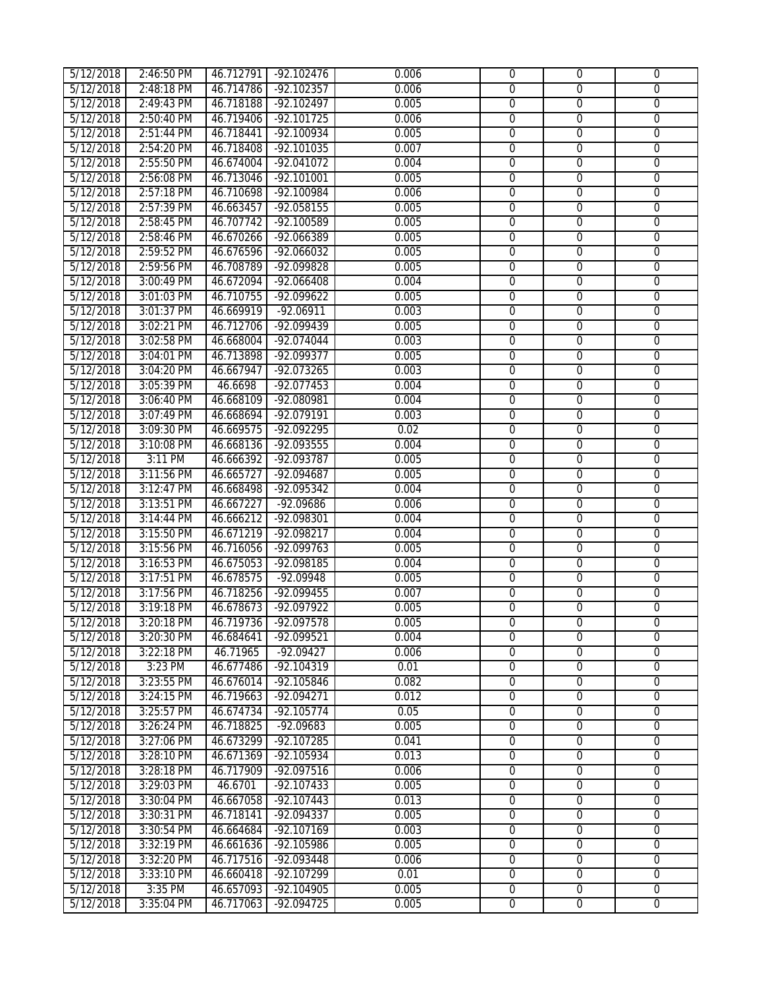| 5/12/2018 | 2:46:50 PM | 46.712791 | $-92.102476$ | 0.006 | $\mathbf 0$    | $\overline{0}$ | $\mathbf{0}$   |
|-----------|------------|-----------|--------------|-------|----------------|----------------|----------------|
| 5/12/2018 | 2:48:18 PM | 46.714786 | $-92.102357$ | 0.006 | $\overline{0}$ | $\overline{0}$ | $\overline{0}$ |
| 5/12/2018 | 2:49:43 PM | 46.718188 | $-92.102497$ | 0.005 | $\overline{0}$ | $\overline{0}$ | $\overline{0}$ |
| 5/12/2018 | 2:50:40 PM | 46.719406 | $-92.101725$ | 0.006 | $\overline{0}$ | $\overline{0}$ | $\overline{0}$ |
| 5/12/2018 | 2:51:44 PM | 46.718441 | $-92.100934$ | 0.005 | $\overline{0}$ | $\overline{0}$ | $\overline{0}$ |
| 5/12/2018 | 2:54:20 PM | 46.718408 | $-92.101035$ | 0.007 | $\mathbf 0$    | $\overline{0}$ | $\overline{0}$ |
| 5/12/2018 | 2:55:50 PM | 46.674004 | $-92.041072$ | 0.004 | $\overline{0}$ | $\overline{0}$ | $\overline{0}$ |
| 5/12/2018 | 2:56:08 PM | 46.713046 | $-92.101001$ | 0.005 | $\overline{0}$ | $\overline{0}$ | $\overline{0}$ |
| 5/12/2018 | 2:57:18 PM | 46.710698 | $-92.100984$ | 0.006 | $\overline{0}$ | $\overline{0}$ | $\overline{0}$ |
| 5/12/2018 | 2:57:39 PM | 46.663457 | $-92.058155$ | 0.005 | $\overline{0}$ | $\overline{0}$ | $\overline{0}$ |
| 5/12/2018 | 2:58:45 PM | 46.707742 | $-92.100589$ | 0.005 | $\overline{0}$ | $\overline{0}$ | $\overline{0}$ |
| 5/12/2018 | 2:58:46 PM | 46.670266 | $-92.066389$ | 0.005 | $\overline{0}$ | $\overline{0}$ | 0              |
| 5/12/2018 | 2:59:52 PM | 46.676596 | $-92.066032$ | 0.005 | $\overline{0}$ | $\overline{0}$ | $\overline{0}$ |
| 5/12/2018 | 2:59:56 PM | 46.708789 | $-92.099828$ | 0.005 | $\overline{0}$ | $\overline{0}$ | $\overline{0}$ |
| 5/12/2018 | 3:00:49 PM | 46.672094 | $-92.066408$ | 0.004 | $\overline{0}$ | $\overline{0}$ | $\overline{0}$ |
| 5/12/2018 | 3:01:03 PM | 46.710755 | -92.099622   | 0.005 | $\overline{0}$ | $\overline{0}$ | $\overline{0}$ |
| 5/12/2018 | 3:01:37 PM | 46.669919 | $-92.06911$  | 0.003 | $\overline{0}$ | $\overline{0}$ | $\overline{0}$ |
| 5/12/2018 | 3:02:21 PM | 46.712706 | -92.099439   | 0.005 | $\overline{0}$ | $\overline{0}$ | $\overline{0}$ |
| 5/12/2018 | 3:02:58 PM | 46.668004 | $-92.074044$ | 0.003 | 0              | $\overline{0}$ | $\mathbf 0$    |
| 5/12/2018 | 3:04:01 PM | 46.713898 | $-92.099377$ | 0.005 | $\overline{0}$ | $\overline{0}$ | $\overline{0}$ |
| 5/12/2018 | 3:04:20 PM | 46.667947 | $-92.073265$ | 0.003 | 0              | $\overline{0}$ | 0              |
| 5/12/2018 | 3:05:39 PM | 46.6698   | $-92.077453$ | 0.004 | $\overline{0}$ | $\overline{0}$ | $\overline{0}$ |
| 5/12/2018 | 3:06:40 PM | 46.668109 | -92.080981   | 0.004 | $\overline{0}$ | $\overline{0}$ | $\overline{0}$ |
| 5/12/2018 | 3:07:49 PM | 46.668694 | $-92.079191$ | 0.003 | $\overline{0}$ | $\overline{0}$ | $\overline{0}$ |
| 5/12/2018 | 3:09:30 PM | 46.669575 | -92.092295   | 0.02  | $\overline{0}$ | $\overline{0}$ | $\overline{0}$ |
| 5/12/2018 | 3:10:08 PM | 46.668136 | $-92.093555$ | 0.004 | $\overline{0}$ | $\overline{0}$ | $\overline{0}$ |
| 5/12/2018 | 3:11 PM    | 46.666392 | $-92.093787$ | 0.005 | $\overline{0}$ | $\overline{0}$ | $\overline{0}$ |
| 5/12/2018 | 3:11:56 PM | 46.665727 | $-92.094687$ | 0.005 | $\overline{0}$ | $\overline{0}$ | $\overline{0}$ |
| 5/12/2018 | 3:12:47 PM | 46.668498 | $-92.095342$ | 0.004 | $\overline{0}$ | $\overline{0}$ | $\overline{0}$ |
| 5/12/2018 | 3:13:51 PM | 46.667227 | $-92.09686$  | 0.006 | $\overline{0}$ | $\overline{0}$ | $\overline{0}$ |
| 5/12/2018 | 3:14:44 PM | 46.666212 | -92.098301   | 0.004 | $\overline{0}$ | $\overline{0}$ | $\overline{0}$ |
| 5/12/2018 | 3:15:50 PM | 46.671219 | $-92.098217$ | 0.004 | $\overline{0}$ | $\overline{0}$ | $\overline{0}$ |
| 5/12/2018 | 3:15:56 PM | 46.716056 | $-92.099763$ | 0.005 | $\overline{0}$ | $\overline{0}$ | $\overline{0}$ |
| 5/12/2018 | 3:16:53 PM | 46.675053 | -92.098185   | 0.004 | $\overline{0}$ | $\overline{0}$ | $\overline{0}$ |
| 5/12/2018 | 3:17:51 PM | 46.678575 | $-92.09948$  | 0.005 | $\overline{0}$ | $\overline{0}$ | $\overline{0}$ |
| 5/12/2018 | 3:17:56 PM | 46.718256 | $-92.099455$ | 0.007 | 0              | $\overline{0}$ | 0              |
| 5/12/2018 | 3:19:18 PM | 46.678673 | $-92.097922$ | 0.005 | 0              | 0              | 0              |
| 5/12/2018 | 3:20:18 PM | 46.719736 | $-92.097578$ | 0.005 | $\overline{0}$ | $\overline{0}$ | $\overline{0}$ |
| 5/12/2018 | 3:20:30 PM | 46.684641 | -92.099521   | 0.004 | $\Omega$       | $\Omega$       | $\Omega$       |
| 5/12/2018 | 3:22:18 PM | 46.71965  | $-92.09427$  | 0.006 | $\Omega$       | $\Omega$       | 0              |
| 5/12/2018 | 3:23 PM    | 46.677486 | $-92.104319$ | 0.01  | 0              | $\mathbf 0$    | $\overline{0}$ |
| 5/12/2018 | 3:23:55 PM | 46.676014 | $-92.105846$ | 0.082 | $\overline{0}$ | $\overline{0}$ | $\overline{0}$ |
| 5/12/2018 | 3:24:15 PM | 46.719663 | -92.094271   | 0.012 | $\overline{0}$ | $\mathbf 0$    | $\overline{0}$ |
| 5/12/2018 | 3:25:57 PM | 46.674734 | $-92.105774$ | 0.05  | $\overline{0}$ | $\overline{0}$ | $\overline{0}$ |
| 5/12/2018 | 3:26:24 PM | 46.718825 | $-92.09683$  | 0.005 | $\overline{0}$ | $\overline{0}$ | $\overline{0}$ |
| 5/12/2018 | 3:27:06 PM | 46.673299 | $-92.107285$ | 0.041 | $\overline{0}$ | $\overline{0}$ | $\overline{0}$ |
| 5/12/2018 | 3:28:10 PM | 46.671369 | -92.105934   | 0.013 | $\overline{0}$ | $\overline{0}$ | $\overline{0}$ |
| 5/12/2018 | 3:28:18 PM | 46.717909 | -92.097516   | 0.006 | $\overline{0}$ | $\mathbf 0$    | 0              |
| 5/12/2018 | 3:29:03 PM | 46.6701   | $-92.107433$ | 0.005 | $\overline{0}$ | $\overline{0}$ | $\overline{0}$ |
| 5/12/2018 | 3:30:04 PM | 46.667058 | $-92.107443$ | 0.013 | $\overline{0}$ | $\overline{0}$ | $\overline{0}$ |
| 5/12/2018 | 3:30:31 PM | 46.718141 | -92.094337   | 0.005 | $\overline{0}$ | $\overline{0}$ | $\overline{0}$ |
| 5/12/2018 | 3:30:54 PM | 46.664684 | $-92.107169$ | 0.003 | $\overline{0}$ | $\overline{0}$ | $\overline{0}$ |
| 5/12/2018 | 3:32:19 PM | 46.661636 | -92.105986   | 0.005 | $\overline{0}$ | $\overline{0}$ | $\overline{0}$ |
| 5/12/2018 | 3:32:20 PM | 46.717516 | -92.093448   | 0.006 | $\overline{0}$ | $\mathbf 0$    | $\overline{0}$ |
| 5/12/2018 | 3:33:10 PM | 46.660418 | $-92.107299$ | 0.01  | $\overline{0}$ | $\overline{0}$ | $\overline{0}$ |
| 5/12/2018 | 3:35 PM    | 46.657093 | -92.104905   | 0.005 | $\overline{0}$ | $\overline{0}$ | $\overline{0}$ |
| 5/12/2018 | 3:35:04 PM | 46.717063 | $-92.094725$ | 0.005 | $\overline{0}$ | $\overline{0}$ | $\overline{0}$ |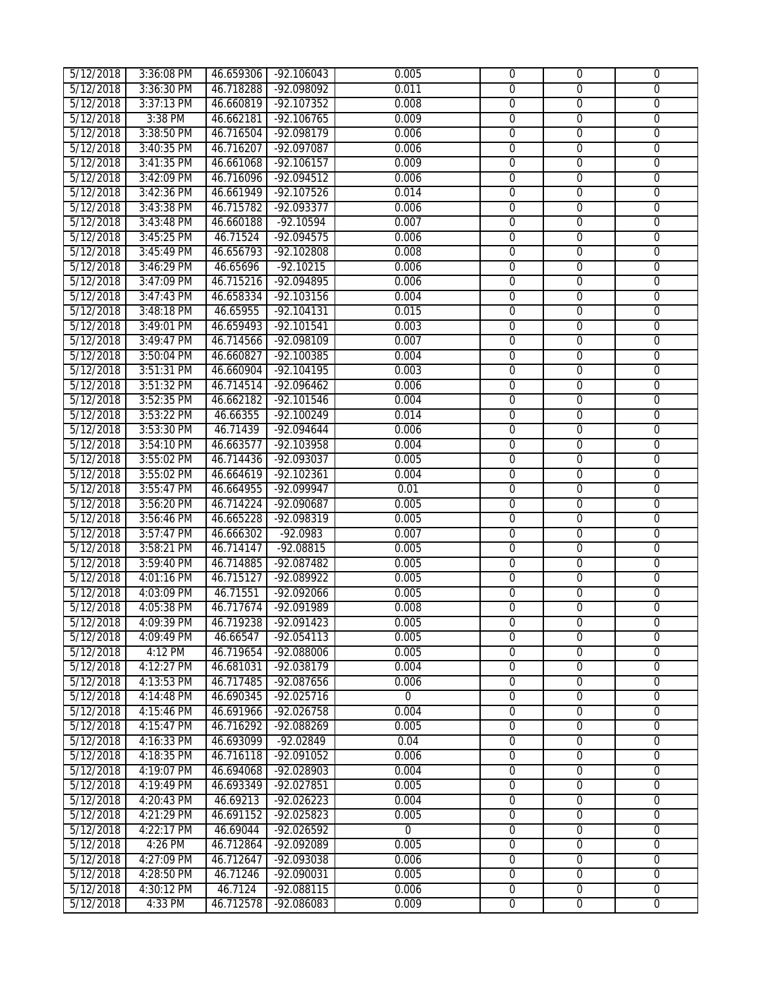| 5/12/2018 | 3:36:08 PM | 46.659306 | $-92.106043$ | 0.005       | $\mathbf{0}$   | $\overline{0}$ | $\mathbf{0}$     |
|-----------|------------|-----------|--------------|-------------|----------------|----------------|------------------|
| 5/12/2018 | 3:36:30 PM | 46.718288 | -92.098092   | 0.011       | $\mathbf{0}$   | $\mathbf{0}$   | 0                |
| 5/12/2018 | 3:37:13 PM | 46.660819 | $-92.107352$ | 0.008       | $\overline{0}$ | $\overline{0}$ | $\overline{0}$   |
| 5/12/2018 | 3:38 PM    | 46.662181 | $-92.106765$ | 0.009       | $\overline{0}$ | $\overline{0}$ | $\overline{0}$   |
| 5/12/2018 | 3:38:50 PM | 46.716504 | $-92.098179$ | 0.006       | $\overline{0}$ | $\overline{0}$ | $\overline{0}$   |
| 5/12/2018 | 3:40:35 PM | 46.716207 | $-92.097087$ | 0.006       | $\overline{0}$ | $\overline{0}$ | $\overline{0}$   |
| 5/12/2018 | 3:41:35 PM | 46.661068 | $-92.106157$ | 0.009       | $\overline{0}$ | $\overline{0}$ | $\overline{0}$   |
| 5/12/2018 | 3:42:09 PM | 46.716096 | -92.094512   | 0.006       | $\overline{0}$ | $\overline{0}$ | $\overline{0}$   |
| 5/12/2018 | 3:42:36 PM | 46.661949 | $-92.107526$ | 0.014       | $\overline{0}$ | $\overline{0}$ | $\overline{0}$   |
| 5/12/2018 | 3:43:38 PM | 46.715782 | $-92.093377$ | 0.006       | $\overline{0}$ | $\overline{0}$ | $\overline{0}$   |
| 5/12/2018 | 3:43:48 PM | 46.660188 | $-92.10594$  | 0.007       | $\overline{0}$ | $\overline{0}$ | $\overline{0}$   |
| 5/12/2018 | 3:45:25 PM | 46.71524  | $-92.094575$ | 0.006       | $\overline{0}$ | $\overline{0}$ | $\overline{0}$   |
| 5/12/2018 | 3:45:49 PM | 46.656793 | $-92.102808$ | 0.008       | $\overline{0}$ | $\overline{0}$ | 0                |
| 5/12/2018 | 3:46:29 PM | 46.65696  | $-92.10215$  | 0.006       | 0              | $\overline{0}$ | 0                |
| 5/12/2018 | 3:47:09 PM | 46.715216 | -92.094895   | 0.006       | $\overline{0}$ | $\overline{0}$ | 0                |
| 5/12/2018 | 3:47:43 PM | 46.658334 | -92.103156   | 0.004       | $\overline{0}$ | $\overline{0}$ | $\overline{0}$   |
| 5/12/2018 | 3:48:18 PM | 46.65955  | $-92.104131$ | 0.015       | $\overline{0}$ | $\overline{0}$ | $\overline{0}$   |
| 5/12/2018 | 3:49:01 PM | 46.659493 | $-92.101541$ | 0.003       | $\overline{0}$ | $\overline{0}$ | $\overline{0}$   |
| 5/12/2018 | 3:49:47 PM | 46.714566 | -92.098109   | 0.007       | $\overline{0}$ | $\overline{0}$ | $\overline{0}$   |
| 5/12/2018 | 3:50:04 PM | 46.660827 | $-92.100385$ | 0.004       | $\overline{0}$ | $\overline{0}$ | $\overline{0}$   |
| 5/12/2018 | 3:51:31 PM | 46.660904 | $-92.104195$ | 0.003       | $\overline{0}$ | $\overline{0}$ | $\overline{0}$   |
| 5/12/2018 | 3:51:32 PM | 46.714514 | $-92.096462$ | 0.006       | $\overline{0}$ | $\overline{0}$ | $\overline{0}$   |
| 5/12/2018 | 3:52:35 PM | 46.662182 | $-92.101546$ | 0.004       | $\overline{0}$ | $\overline{0}$ | $\overline{0}$   |
| 5/12/2018 | 3:53:22 PM | 46.66355  | $-92.100249$ | 0.014       | $\overline{0}$ | $\overline{0}$ | $\overline{0}$   |
|           | 3:53:30 PM | 46.71439  | $-92.094644$ | 0.006       | 0              | $\overline{0}$ | 0                |
| 5/12/2018 | 3:54:10 PM | 46.663577 | $-92.103958$ | 0.004       | $\overline{0}$ | $\overline{0}$ | $\overline{0}$   |
| 5/12/2018 |            |           |              |             |                |                |                  |
| 5/12/2018 | 3:55:02 PM | 46.714436 | $-92.093037$ | 0.005       | $\overline{0}$ | $\overline{0}$ | $\overline{0}$   |
| 5/12/2018 | 3:55:02 PM | 46.664619 | $-92.102361$ | 0.004       | $\overline{0}$ | $\overline{0}$ | $\overline{0}$   |
| 5/12/2018 | 3:55:47 PM | 46.664955 | $-92.099947$ | 0.01        | $\overline{0}$ | $\overline{0}$ | $\overline{0}$   |
| 5/12/2018 | 3:56:20 PM | 46.714224 | $-92.090687$ | 0.005       | $\overline{0}$ | $\overline{0}$ | $\overline{0}$   |
| 5/12/2018 | 3:56:46 PM | 46.665228 | $-92.098319$ | 0.005       | $\overline{0}$ | $\overline{0}$ | $\overline{0}$   |
| 5/12/2018 | 3:57:47 PM | 46.666302 | $-92.0983$   | 0.007       | $\overline{0}$ | $\overline{0}$ | $\overline{0}$   |
| 5/12/2018 | 3:58:21 PM | 46.714147 | $-92.08815$  | 0.005       | $\overline{0}$ | $\overline{0}$ | $\overline{0}$   |
| 5/12/2018 | 3:59:40 PM | 46.714885 | $-92.087482$ | 0.005       | $\overline{0}$ | $\overline{0}$ | $\overline{0}$   |
| 5/12/2018 | 4:01:16 PM | 46.715127 | $-92.089922$ | 0.005       | $\overline{0}$ | $\overline{0}$ | $\overline{0}$   |
| 5/12/2018 | 4:03:09 PM | 46.71551  | $-92.092066$ | 0.005       | $\overline{0}$ | $\overline{0}$ | $\overline{0}$   |
| 5/12/2018 | 4:05:38 PM | 46.717674 | -92.091989   | 0.008       | $\overline{0}$ | $\overline{0}$ | $\overline{0}$   |
| 5/12/2018 | 4:09:39 PM | 46.719238 | $-92.091423$ | 0.005       | $\overline{0}$ | $\overline{0}$ | $\overline{0}$   |
| 5/12/2018 | 4:09:49 PM | 46.66547  | $-92.054113$ | 0.005       | $\Omega$       | $\Omega$       | $\Omega$         |
| 5/12/2018 | 4:12 PM    | 46.719654 | -92.088006   | 0.005       | $\mathbf{0}$   | 0              | 0                |
| 5/12/2018 | 4:12:27 PM | 46.681031 | -92.038179   | 0.004       | 0              | $\mathbf 0$    | 0                |
| 5/12/2018 | 4:13:53 PM | 46.717485 | -92.087656   | 0.006       | 0              | 0              | 0                |
| 5/12/2018 | 4:14:48 PM | 46.690345 | $-92.025716$ | $\Omega$    | 0              | $\mathbf 0$    | $\boldsymbol{0}$ |
| 5/12/2018 | 4:15:46 PM | 46.691966 | -92.026758   | 0.004       | 0              | $\mathbf 0$    | $\overline{0}$   |
| 5/12/2018 | 4:15:47 PM | 46.716292 | -92.088269   | 0.005       | $\overline{0}$ | $\mathbf 0$    | $\overline{0}$   |
| 5/12/2018 | 4:16:33 PM | 46.693099 | -92.02849    | 0.04        | $\overline{0}$ | $\overline{0}$ | $\overline{0}$   |
| 5/12/2018 | 4:18:35 PM | 46.716118 | -92.091052   | 0.006       | $\overline{0}$ | $\overline{0}$ | $\overline{0}$   |
| 5/12/2018 | 4:19:07 PM | 46.694068 | -92.028903   | 0.004       | $\overline{0}$ | $\overline{0}$ | $\overline{0}$   |
| 5/12/2018 | 4:19:49 PM | 46.693349 | -92.027851   | 0.005       | $\overline{0}$ | $\mathbf 0$    | $\overline{0}$   |
| 5/12/2018 | 4:20:43 PM | 46.69213  | $-92.026223$ | 0.004       | $\overline{0}$ | $\mathbf 0$    | 0                |
| 5/12/2018 | 4:21:29 PM | 46.691152 | $-92.025823$ | 0.005       | $\overline{0}$ | $\mathbf 0$    | $\overline{0}$   |
| 5/12/2018 | 4:22:17 PM | 46.69044  | $-92.026592$ | $\mathbf 0$ | $\overline{0}$ | $\overline{0}$ | $\overline{0}$   |
| 5/12/2018 | $4:26$ PM  | 46.712864 | -92.092089   | 0.005       | $\overline{0}$ | $\overline{0}$ | $\overline{0}$   |
| 5/12/2018 | 4:27:09 PM | 46.712647 | -92.093038   | 0.006       | $\overline{0}$ | 0              | $\overline{0}$   |
| 5/12/2018 | 4:28:50 PM | 46.71246  | -92.090031   | 0.005       | 0              | 0              | 0                |
| 5/12/2018 | 4:30:12 PM | 46.7124   | -92.088115   | 0.006       | $\overline{0}$ | $\overline{0}$ | $\overline{0}$   |
| 5/12/2018 | 4:33 PM    | 46.712578 | -92.086083   | 0.009       | $\overline{0}$ | $\overline{0}$ | $\overline{0}$   |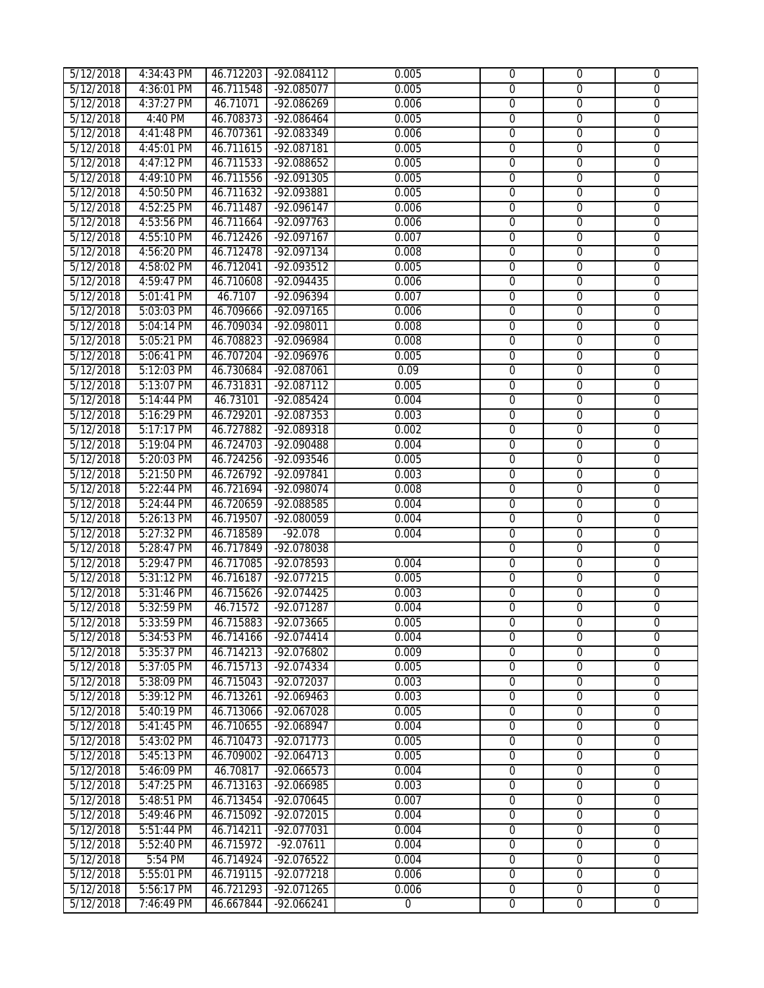| 5/12/2018 | 4:34:43 PM | 46.712203 | -92.084112           | 0.005          | $\mathbf 0$    | $\mathbf{0}$   | $\mathbf{0}$   |
|-----------|------------|-----------|----------------------|----------------|----------------|----------------|----------------|
| 5/12/2018 | 4:36:01 PM | 46.711548 | $-92.085077$         | 0.005          | $\overline{0}$ | $\overline{0}$ | $\overline{0}$ |
| 5/12/2018 | 4:37:27 PM | 46.71071  | $-92.086269$         | 0.006          | $\overline{0}$ | $\overline{0}$ | $\overline{0}$ |
| 5/12/2018 | 4:40 PM    | 46.708373 | $-92.086464$         | 0.005          | $\overline{0}$ | $\overline{0}$ | $\overline{0}$ |
| 5/12/2018 | 4:41:48 PM | 46.707361 | -92.083349           | 0.006          | $\overline{0}$ | $\overline{0}$ | $\overline{0}$ |
| 5/12/2018 | 4:45:01 PM | 46.711615 | $-92.087181$         | 0.005          | $\mathbf 0$    | $\overline{0}$ | $\overline{0}$ |
| 5/12/2018 | 4:47:12 PM | 46.711533 | $-92.088652$         | 0.005          | $\overline{0}$ | $\overline{0}$ | $\overline{0}$ |
| 5/12/2018 | 4:49:10 PM | 46.711556 | $-92.091305$         | 0.005          | $\overline{0}$ | $\overline{0}$ | $\overline{0}$ |
| 5/12/2018 | 4:50:50 PM | 46.711632 | -92.093881           | 0.005          | $\overline{0}$ | $\overline{0}$ | $\overline{0}$ |
| 5/12/2018 | 4:52:25 PM | 46.711487 | $-92.096147$         | 0.006          | $\overline{0}$ | $\overline{0}$ | 0              |
| 5/12/2018 | 4:53:56 PM | 46.711664 | $-92.097763$         | 0.006          | 0              | $\overline{0}$ | 0              |
| 5/12/2018 | 4:55:10 PM | 46.712426 | $-92.097167$         | 0.007          | 0              | $\overline{0}$ | 0              |
| 5/12/2018 | 4:56:20 PM | 46.712478 | $-92.097134$         | 0.008          | $\overline{0}$ | $\overline{0}$ | $\overline{0}$ |
| 5/12/2018 | 4:58:02 PM | 46.712041 | $-92.093512$         | 0.005          | $\overline{0}$ | $\overline{0}$ | $\overline{0}$ |
| 5/12/2018 | 4:59:47 PM | 46.710608 | $-92.094435$         | 0.006          | $\overline{0}$ | $\overline{0}$ | $\overline{0}$ |
| 5/12/2018 | 5:01:41 PM | 46.7107   | -92.096394           | 0.007          | $\overline{0}$ | $\overline{0}$ | $\overline{0}$ |
| 5/12/2018 | 5:03:03 PM | 46.709666 | $-92.097165$         | 0.006          | $\overline{0}$ | $\overline{0}$ | $\overline{0}$ |
| 5/12/2018 | 5:04:14 PM | 46.709034 | -92.098011           | 0.008          | $\overline{0}$ | $\overline{0}$ | $\overline{0}$ |
| 5/12/2018 | 5:05:21 PM | 46.708823 | -92.096984           | 0.008          | $\overline{0}$ | $\overline{0}$ | $\overline{0}$ |
| 5/12/2018 | 5:06:41 PM | 46.707204 | $-92.096976$         | 0.005          | $\overline{0}$ | $\overline{0}$ | $\overline{0}$ |
| 5/12/2018 | 5:12:03 PM | 46.730684 | $-92.087061$         | 0.09           | 0              | $\overline{0}$ | 0              |
| 5/12/2018 | 5:13:07 PM | 46.731831 | $-92.087112$         | 0.005          | 0              | $\overline{0}$ | 0              |
| 5/12/2018 | 5:14:44 PM | 46.73101  | $-92.085424$         | 0.004          | $\overline{0}$ | $\overline{0}$ | $\overline{0}$ |
| 5/12/2018 | 5:16:29 PM | 46.729201 | $-92.087353$         | 0.003          | $\overline{0}$ | $\overline{0}$ | $\overline{0}$ |
| 5/12/2018 | 5:17:17 PM | 46.727882 | $-92.089318$         | 0.002          | $\overline{0}$ | $\overline{0}$ | $\overline{0}$ |
| 5/12/2018 | 5:19:04 PM | 46.724703 | $-92.090488$         | 0.004          | $\overline{0}$ | $\overline{0}$ | $\overline{0}$ |
| 5/12/2018 | 5:20:03 PM | 46.724256 | $-92.093546$         | 0.005          | $\overline{0}$ | $\overline{0}$ | $\overline{0}$ |
| 5/12/2018 | 5:21:50 PM | 46.726792 | -92.097841           | 0.003          | $\overline{0}$ | $\overline{0}$ | $\overline{0}$ |
| 5/12/2018 | 5:22:44 PM | 46.721694 | $-92.098074$         | 0.008          | $\overline{0}$ | $\overline{0}$ | $\overline{0}$ |
| 5/12/2018 | 5:24:44 PM | 46.720659 | $-92.088585$         | 0.004          | $\overline{0}$ | $\overline{0}$ | $\overline{0}$ |
| 5/12/2018 | 5:26:13 PM | 46.719507 | $-92.080059$         | 0.004          | $\overline{0}$ | $\overline{0}$ | $\overline{0}$ |
| 5/12/2018 | 5:27:32 PM | 46.718589 | $-92.078$            | 0.004          | $\overline{0}$ | $\overline{0}$ | $\overline{0}$ |
| 5/12/2018 | 5:28:47 PM | 46.717849 | -92.078038           |                | $\overline{0}$ | $\overline{0}$ | $\overline{0}$ |
| 5/12/2018 | 5:29:47 PM | 46.717085 | $-92.078593$         | 0.004          | $\overline{0}$ | $\overline{0}$ | $\overline{0}$ |
| 5/12/2018 | 5:31:12 PM | 46.716187 | $-92.077215$         | 0.005          | $\overline{0}$ | $\overline{0}$ | $\overline{0}$ |
| 5/12/2018 | 5:31:46 PM | 46.715626 | $-92.074425$         | 0.003          | 0              | $\overline{0}$ | 0              |
| 5/12/2018 | 5:32:59 PM | 46.71572  | $-92.071287$         | 0.004          | 0              | 0              | 0              |
| 5/12/2018 | 5:33:59 PM |           | 46.715883 -92.073665 | 0.005          | $\overline{0}$ | 0              | $\overline{0}$ |
| 5/12/2018 | 5:34:53 PM | 46.714166 | $-92.074414$         | 0.004          | $\Omega$       | $\Omega$       | $\Omega$       |
| 5/12/2018 | 5:35:37 PM | 46.714213 | -92.076802           | 0.009          | 0              | $\Omega$       | 0              |
| 5/12/2018 | 5:37:05 PM | 46.715713 | -92.074334           | 0.005          | $\overline{0}$ | $\mathbf 0$    | $\overline{0}$ |
| 5/12/2018 | 5:38:09 PM | 46.715043 | $-92.072037$         | 0.003          | $\mathbf 0$    | $\overline{0}$ | $\overline{0}$ |
| 5/12/2018 | 5:39:12 PM | 46.713261 | $-92.069463$         | 0.003          | $\overline{0}$ | $\mathbf{0}$   | $\overline{0}$ |
| 5/12/2018 | 5:40:19 PM | 46.713066 | $-92.067028$         | 0.005          | $\overline{0}$ | $\overline{0}$ | $\overline{0}$ |
| 5/12/2018 | 5:41:45 PM | 46.710655 | $-92.068947$         | 0.004          | $\overline{0}$ | $\overline{0}$ | $\overline{0}$ |
| 5/12/2018 | 5:43:02 PM | 46.710473 | -92.071773           | 0.005          | $\overline{0}$ | $\overline{0}$ | $\overline{0}$ |
| 5/12/2018 | 5:45:13 PM | 46.709002 | $-92.064713$         | 0.005          | $\overline{0}$ | $\mathbf{0}$   | $\overline{0}$ |
| 5/12/2018 | 5:46:09 PM | 46.70817  | $-92.066573$         | 0.004          | $\overline{0}$ | $\mathbf 0$    | $\overline{0}$ |
| 5/12/2018 | 5:47:25 PM | 46.713163 | $-92.066985$         | 0.003          | $\overline{0}$ | $\overline{0}$ | $\overline{0}$ |
| 5/12/2018 | 5:48:51 PM | 46.713454 | -92.070645           | 0.007          | $\overline{0}$ | $\overline{0}$ | $\overline{0}$ |
| 5/12/2018 | 5:49:46 PM | 46.715092 | -92.072015           | 0.004          | $\overline{0}$ | 0              | $\overline{0}$ |
| 5/12/2018 | 5:51:44 PM | 46.714211 | -92.077031           | 0.004          | $\overline{0}$ | $\mathbf 0$    | $\overline{0}$ |
| 5/12/2018 | 5:52:40 PM | 46.715972 | $-92.07611$          | 0.004          | $\overline{0}$ | $\overline{0}$ | $\overline{0}$ |
| 5/12/2018 | 5:54 PM    | 46.714924 | -92.076522           | 0.004          | $\overline{0}$ | $\overline{0}$ | $\overline{0}$ |
| 5/12/2018 | 5:55:01 PM | 46.719115 | $-92.077218$         | 0.006          | $\overline{0}$ | $\overline{0}$ | $\overline{0}$ |
| 5/12/2018 | 5:56:17 PM | 46.721293 | -92.071265           | 0.006          | $\overline{0}$ | $\overline{0}$ | $\overline{0}$ |
| 5/12/2018 | 7:46:49 PM | 46.667844 | $-92.066241$         | $\overline{0}$ | $\overline{0}$ | $\overline{0}$ | $\overline{0}$ |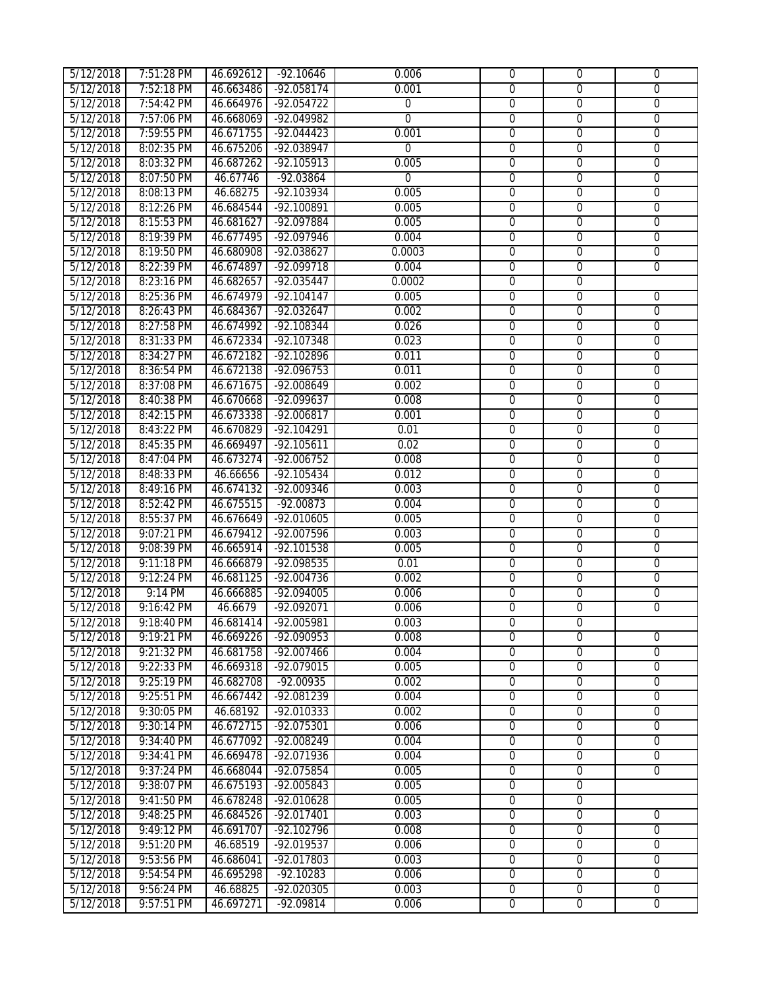| 5/12/2018 | 7:51:28 PM | 46.692612 | $-92.10646$  | 0.006          | $\mathbf 0$    | $\overline{0}$ | $\mathbf{0}$   |
|-----------|------------|-----------|--------------|----------------|----------------|----------------|----------------|
| 5/12/2018 | 7:52:18 PM | 46.663486 | $-92.058174$ | 0.001          | $\overline{0}$ | $\overline{0}$ | $\overline{0}$ |
| 5/12/2018 | 7:54:42 PM | 46.664976 | $-92.054722$ | $\overline{0}$ | $\overline{0}$ | $\overline{0}$ | $\overline{0}$ |
| 5/12/2018 | 7:57:06 PM | 46.668069 | $-92.049982$ | $\overline{0}$ | $\overline{0}$ | $\overline{0}$ | $\overline{0}$ |
| 5/12/2018 | 7:59:55 PM | 46.671755 | $-92.044423$ | 0.001          | $\overline{0}$ | $\overline{0}$ | $\overline{0}$ |
| 5/12/2018 | 8:02:35 PM | 46.675206 | -92.038947   | $\mathbf 0$    | $\mathbf 0$    | $\overline{0}$ | $\overline{0}$ |
| 5/12/2018 | 8:03:32 PM | 46.687262 | $-92.105913$ | 0.005          | $\overline{0}$ | $\overline{0}$ | $\overline{0}$ |
| 5/12/2018 | 8:07:50 PM | 46.67746  | $-92.03864$  | $\overline{0}$ | $\overline{0}$ | $\overline{0}$ | $\overline{0}$ |
| 5/12/2018 | 8:08:13 PM | 46.68275  | $-92.103934$ | 0.005          | $\overline{0}$ | $\overline{0}$ | $\overline{0}$ |
| 5/12/2018 | 8:12:26 PM | 46.684544 | $-92.100891$ | 0.005          | $\overline{0}$ | $\overline{0}$ | $\overline{0}$ |
| 5/12/2018 | 8:15:53 PM | 46.681627 | $-92.097884$ | 0.005          | $\overline{0}$ | $\overline{0}$ | $\overline{0}$ |
| 5/12/2018 | 8:19:39 PM | 46.677495 | -92.097946   | 0.004          | $\overline{0}$ | $\overline{0}$ | 0              |
| 5/12/2018 | 8:19:50 PM | 46.680908 | $-92.038627$ | 0.0003         | $\overline{0}$ | $\overline{0}$ | $\overline{0}$ |
| 5/12/2018 | 8:22:39 PM | 46.674897 | $-92.099718$ | 0.004          | $\overline{0}$ | $\overline{0}$ | $\overline{0}$ |
| 5/12/2018 | 8:23:16 PM | 46.682657 | $-92.035447$ | 0.0002         | $\overline{0}$ | $\overline{0}$ |                |
| 5/12/2018 | 8:25:36 PM | 46.674979 | $-92.104147$ | 0.005          | $\overline{0}$ | $\overline{0}$ | $\overline{0}$ |
| 5/12/2018 | 8:26:43 PM | 46.684367 | $-92.032647$ | 0.002          | $\overline{0}$ | $\overline{0}$ | $\overline{0}$ |
| 5/12/2018 | 8:27:58 PM | 46.674992 | $-92.108344$ | 0.026          | $\overline{0}$ | $\overline{0}$ | $\overline{0}$ |
| 5/12/2018 | 8:31:33 PM | 46.672334 | $-92.107348$ | 0.023          | 0              | $\overline{0}$ | $\mathbf 0$    |
| 5/12/2018 | 8:34:27 PM | 46.672182 | $-92.102896$ | 0.011          | $\overline{0}$ | $\overline{0}$ | $\overline{0}$ |
| 5/12/2018 | 8:36:54 PM | 46.672138 | $-92.096753$ | 0.011          | $\overline{0}$ | $\overline{0}$ | 0              |
| 5/12/2018 | 8:37:08 PM | 46.671675 | $-92.008649$ | 0.002          | $\overline{0}$ | $\overline{0}$ | $\overline{0}$ |
| 5/12/2018 | 8:40:38 PM | 46.670668 | -92.099637   | 0.008          | $\overline{0}$ | $\overline{0}$ | $\overline{0}$ |
| 5/12/2018 | 8:42:15 PM | 46.673338 | $-92.006817$ | 0.001          | $\overline{0}$ | $\overline{0}$ | $\overline{0}$ |
| 5/12/2018 | 8:43:22 PM | 46.670829 | $-92.104291$ | 0.01           | $\overline{0}$ | $\overline{0}$ | $\overline{0}$ |
| 5/12/2018 | 8:45:35 PM | 46.669497 | $-92.105611$ | 0.02           | $\overline{0}$ | $\overline{0}$ | $\overline{0}$ |
| 5/12/2018 | 8:47:04 PM | 46.673274 | $-92.006752$ | 0.008          | $\overline{0}$ | $\overline{0}$ | $\overline{0}$ |
| 5/12/2018 | 8:48:33 PM | 46.66656  | $-92.105434$ | 0.012          | $\overline{0}$ | $\overline{0}$ | $\overline{0}$ |
| 5/12/2018 | 8:49:16 PM | 46.674132 | $-92.009346$ | 0.003          | $\overline{0}$ | $\overline{0}$ | $\overline{0}$ |
| 5/12/2018 | 8:52:42 PM | 46.675515 | $-92.00873$  | 0.004          | $\overline{0}$ | $\overline{0}$ | $\overline{0}$ |
| 5/12/2018 | 8:55:37 PM | 46.676649 | $-92.010605$ | 0.005          | $\overline{0}$ | $\overline{0}$ | $\overline{0}$ |
| 5/12/2018 | 9:07:21 PM | 46.679412 | $-92.007596$ | 0.003          | $\overline{0}$ | $\overline{0}$ | $\overline{0}$ |
| 5/12/2018 | 9:08:39 PM | 46.665914 | $-92.101538$ | 0.005          | $\overline{0}$ | $\overline{0}$ | $\overline{0}$ |
| 5/12/2018 | 9:11:18 PM | 46.666879 | $-92.098535$ | 0.01           | $\overline{0}$ | $\overline{0}$ | $\overline{0}$ |
| 5/12/2018 | 9:12:24 PM | 46.681125 | $-92.004736$ | 0.002          | $\overline{0}$ | $\overline{0}$ | $\overline{0}$ |
| 5/12/2018 | 9:14 PM    | 46.666885 | $-92.094005$ | 0.006          | 0              | $\overline{0}$ | $\overline{0}$ |
| 5/12/2018 | 9:16:42 PM | 46.6679   | $-92.092071$ | 0.006          | 0              | 0              | $\overline{0}$ |
| 5/12/2018 | 9:18:40 PM | 46.681414 | -92.005981   | 0.003          | $\overline{0}$ | $\overline{0}$ |                |
| 5/12/2018 | 9:19:21 PM | 46.669226 | -92.090953   | 0.008          | $\Omega$       | $\Omega$       | 0              |
| 5/12/2018 | 9:21:32 PM | 46.681758 | $-92.007466$ | 0.004          | $\overline{0}$ | $\Omega$       | 0              |
| 5/12/2018 | 9:22:33 PM | 46.669318 | -92.079015   | 0.005          | $\overline{0}$ | $\mathbf 0$    | $\overline{0}$ |
| 5/12/2018 | 9:25:19 PM | 46.682708 | $-92.00935$  | 0.002          | $\overline{0}$ | $\mathbf 0$    | $\overline{0}$ |
| 5/12/2018 | 9:25:51 PM | 46.667442 | -92.081239   | 0.004          | $\overline{0}$ | $\mathbf 0$    | $\overline{0}$ |
| 5/12/2018 | 9:30:05 PM | 46.68192  | -92.010333   | 0.002          | $\overline{0}$ | $\overline{0}$ | $\overline{0}$ |
| 5/12/2018 | 9:30:14 PM | 46.672715 | $-92.075301$ | 0.006          | $\overline{0}$ | $\overline{0}$ | $\overline{0}$ |
| 5/12/2018 | 9:34:40 PM | 46.677092 | -92.008249   | 0.004          | $\overline{0}$ | $\overline{0}$ | $\overline{0}$ |
| 5/12/2018 | 9:34:41 PM | 46.669478 | -92.071936   | 0.004          | $\overline{0}$ | $\overline{0}$ | $\overline{0}$ |
| 5/12/2018 | 9:37:24 PM | 46.668044 | $-92.075854$ | 0.005          | $\overline{0}$ | $\mathbf 0$    | $\overline{0}$ |
| 5/12/2018 | 9:38:07 PM | 46.675193 | -92.005843   | 0.005          | $\overline{0}$ | $\overline{0}$ |                |
| 5/12/2018 | 9:41:50 PM | 46.678248 | -92.010628   | 0.005          | $\overline{0}$ | $\overline{0}$ |                |
| 5/12/2018 | 9:48:25 PM | 46.684526 | $-92.017401$ | 0.003          | $\overline{0}$ | $\overline{0}$ | 0              |
| 5/12/2018 | 9:49:12 PM | 46.691707 | $-92.102796$ | 0.008          | $\overline{0}$ | $\overline{0}$ | $\mathbf 0$    |
| 5/12/2018 | 9:51:20 PM | 46.68519  | -92.019537   | 0.006          | $\overline{0}$ | $\overline{0}$ | $\overline{0}$ |
| 5/12/2018 | 9:53:56 PM | 46.686041 | -92.017803   | 0.003          | $\overline{0}$ | $\overline{0}$ | $\overline{0}$ |
| 5/12/2018 | 9:54:54 PM | 46.695298 | $-92.10283$  | 0.006          | $\overline{0}$ | $\overline{0}$ | $\overline{0}$ |
| 5/12/2018 | 9:56:24 PM | 46.68825  | $-92.020305$ | 0.003          | $\overline{0}$ | $\overline{0}$ | $\overline{0}$ |
| 5/12/2018 | 9:57:51 PM | 46.697271 | $-92.09814$  | 0.006          | $\overline{0}$ | $\overline{0}$ | $\overline{0}$ |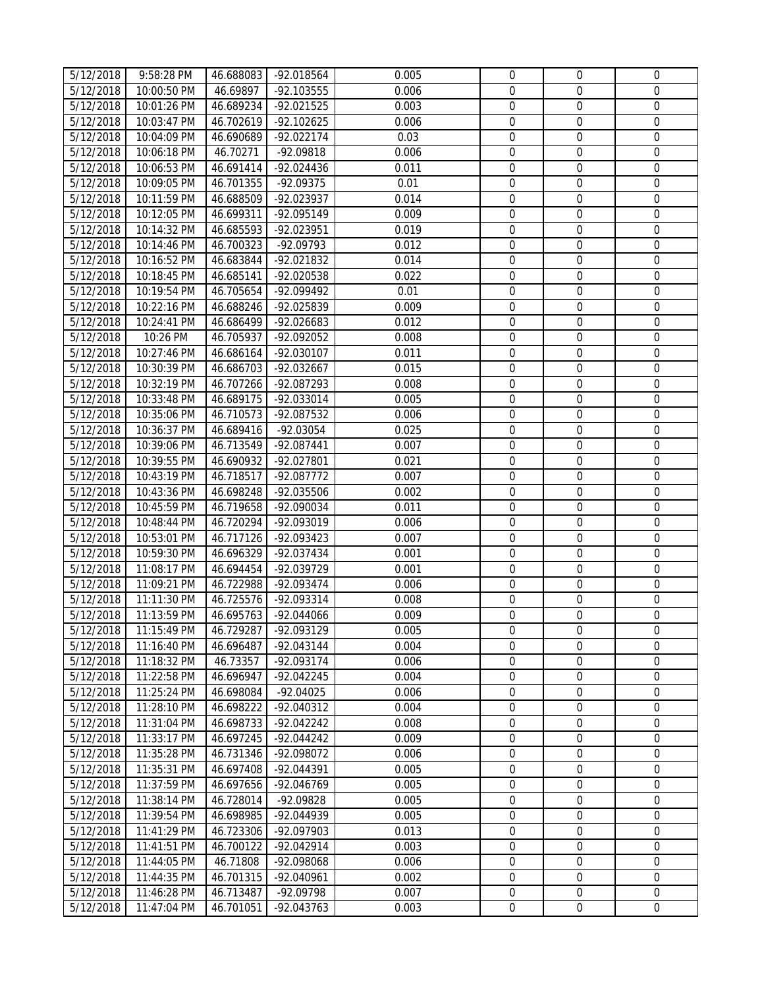| 5/12/2018 | 9:58:28 PM  | 46.688083 | -92.018564   | 0.005 | $\mathbf{0}$     | $\mathbf 0$      | $\mathbf{0}$     |
|-----------|-------------|-----------|--------------|-------|------------------|------------------|------------------|
| 5/12/2018 | 10:00:50 PM | 46.69897  | -92.103555   | 0.006 | $\mathbf{0}$     | $\mathbf 0$      | $\mathbf 0$      |
| 5/12/2018 | 10:01:26 PM | 46.689234 | $-92.021525$ | 0.003 | $\boldsymbol{0}$ | $\boldsymbol{0}$ | $\boldsymbol{0}$ |
| 5/12/2018 | 10:03:47 PM | 46.702619 | $-92.102625$ | 0.006 | $\mathbf 0$      | $\mathbf 0$      | $\boldsymbol{0}$ |
| 5/12/2018 | 10:04:09 PM | 46.690689 | $-92.022174$ | 0.03  | $\mathbf 0$      | $\mathbf 0$      | $\boldsymbol{0}$ |
| 5/12/2018 | 10:06:18 PM | 46.70271  | -92.09818    | 0.006 | $\mathbf 0$      | $\mathbf 0$      | $\boldsymbol{0}$ |
| 5/12/2018 | 10:06:53 PM | 46.691414 | -92.024436   | 0.011 | $\boldsymbol{0}$ | $\boldsymbol{0}$ | $\boldsymbol{0}$ |
| 5/12/2018 | 10:09:05 PM | 46.701355 | $-92.09375$  | 0.01  | $\mathbf 0$      | $\boldsymbol{0}$ | $\mathbf 0$      |
| 5/12/2018 | 10:11:59 PM | 46.688509 | -92.023937   | 0.014 | $\mathbf 0$      | $\mathbf 0$      | $\mathbf 0$      |
| 5/12/2018 | 10:12:05 PM | 46.699311 | -92.095149   | 0.009 | $\mathbf 0$      | $\mathbf 0$      | $\mathbf 0$      |
| 5/12/2018 | 10:14:32 PM | 46.685593 | -92.023951   | 0.019 | $\mathbf 0$      | $\mathbf 0$      | $\boldsymbol{0}$ |
| 5/12/2018 | 10:14:46 PM | 46.700323 | -92.09793    | 0.012 | $\mathbf 0$      | $\mathbf 0$      | $\boldsymbol{0}$ |
| 5/12/2018 | 10:16:52 PM | 46.683844 | -92.021832   | 0.014 | $\mathbf 0$      | $\mathbf 0$      | $\boldsymbol{0}$ |
| 5/12/2018 | 10:18:45 PM | 46.685141 | -92.020538   | 0.022 | $\boldsymbol{0}$ | $\boldsymbol{0}$ | $\boldsymbol{0}$ |
| 5/12/2018 | 10:19:54 PM | 46.705654 | -92.099492   | 0.01  | $\boldsymbol{0}$ | $\boldsymbol{0}$ | $\boldsymbol{0}$ |
| 5/12/2018 | 10:22:16 PM | 46.688246 | -92.025839   | 0.009 | $\boldsymbol{0}$ | $\boldsymbol{0}$ | $\boldsymbol{0}$ |
| 5/12/2018 | 10:24:41 PM | 46.686499 | $-92.026683$ | 0.012 | $\boldsymbol{0}$ | $\boldsymbol{0}$ | $\boldsymbol{0}$ |
| 5/12/2018 | 10:26 PM    | 46.705937 | -92.092052   | 0.008 | $\mathbf 0$      | $\mathbf 0$      | $\boldsymbol{0}$ |
| 5/12/2018 | 10:27:46 PM | 46.686164 | -92.030107   | 0.011 | $\mathbf 0$      | $\boldsymbol{0}$ | $\boldsymbol{0}$ |
| 5/12/2018 | 10:30:39 PM | 46.686703 | -92.032667   | 0.015 | $\mathbf 0$      | $\mathbf 0$      | $\boldsymbol{0}$ |
| 5/12/2018 | 10:32:19 PM | 46.707266 | -92.087293   | 0.008 | $\mathbf 0$      | $\mathbf 0$      | $\boldsymbol{0}$ |
| 5/12/2018 | 10:33:48 PM | 46.689175 | -92.033014   | 0.005 | $\boldsymbol{0}$ | $\boldsymbol{0}$ | $\boldsymbol{0}$ |
| 5/12/2018 | 10:35:06 PM | 46.710573 | -92.087532   | 0.006 | $\mathbf 0$      | $\boldsymbol{0}$ | $\boldsymbol{0}$ |
| 5/12/2018 | 10:36:37 PM | 46.689416 | -92.03054    | 0.025 | $\mathbf 0$      | $\mathbf 0$      | 0                |
| 5/12/2018 | 10:39:06 PM | 46.713549 | -92.087441   | 0.007 | $\boldsymbol{0}$ | $\mathbf 0$      | 0                |
| 5/12/2018 | 10:39:55 PM | 46.690932 | -92.027801   | 0.021 | $\boldsymbol{0}$ | $\boldsymbol{0}$ | $\boldsymbol{0}$ |
| 5/12/2018 | 10:43:19 PM | 46.718517 | -92.087772   | 0.007 | $\boldsymbol{0}$ | $\mathbf 0$      | $\mathbf 0$      |
| 5/12/2018 | 10:43:36 PM | 46.698248 | -92.035506   | 0.002 | $\mathbf 0$      | $\mathbf 0$      | $\boldsymbol{0}$ |
| 5/12/2018 | 10:45:59 PM | 46.719658 | -92.090034   | 0.011 | $\mathbf 0$      | $\mathbf 0$      | $\mathbf 0$      |
| 5/12/2018 | 10:48:44 PM | 46.720294 | -92.093019   | 0.006 | $\boldsymbol{0}$ | $\boldsymbol{0}$ | $\boldsymbol{0}$ |
| 5/12/2018 | 10:53:01 PM | 46.717126 | -92.093423   | 0.007 | $\boldsymbol{0}$ | $\boldsymbol{0}$ | $\boldsymbol{0}$ |
| 5/12/2018 | 10:59:30 PM | 46.696329 | -92.037434   | 0.001 | $\boldsymbol{0}$ | $\boldsymbol{0}$ | $\boldsymbol{0}$ |
| 5/12/2018 | 11:08:17 PM | 46.694454 | -92.039729   | 0.001 | $\mathbf 0$      | $\mathbf 0$      | $\boldsymbol{0}$ |
| 5/12/2018 | 11:09:21 PM | 46.722988 | -92.093474   | 0.006 | $\boldsymbol{0}$ | $\boldsymbol{0}$ | $\boldsymbol{0}$ |
| 5/12/2018 | 11:11:30 PM | 46.725576 | -92.093314   | 0.008 | $\mathbf 0$      | $\mathbf 0$      | $\boldsymbol{0}$ |
| 5/12/2018 | 11:13:59 PM | 46.695763 | -92.044066   | 0.009 | $\mathbf 0$      | $\mathbf 0$      | 0                |
| 5/12/2018 | 11:15:49 PM | 46.729287 | -92.093129   | 0.005 | 0                | $\boldsymbol{0}$ | $\mathbf 0$      |
| 5/12/2018 | 11:16:40 PM | 46.696487 | $-92.043144$ | 0.004 | $\overline{0}$   | $\Omega$         | 0                |
| 5/12/2018 | 11:18:32 PM | 46.73357  | -92.093174   | 0.006 | $\mathbf 0$      | $\mathbf 0$      | $\mathbf 0$      |
| 5/12/2018 | 11:22:58 PM | 46.696947 | -92.042245   | 0.004 | $\boldsymbol{0}$ | $\boldsymbol{0}$ | $\boldsymbol{0}$ |
| 5/12/2018 | 11:25:24 PM | 46.698084 | $-92.04025$  | 0.006 | $\mathbf 0$      | $\boldsymbol{0}$ | 0                |
| 5/12/2018 | 11:28:10 PM | 46.698222 | -92.040312   | 0.004 | $\mathbf 0$      | $\mathbf 0$      | $\mathbf 0$      |
| 5/12/2018 | 11:31:04 PM | 46.698733 | $-92.042242$ | 0.008 | $\mathbf{0}$     | $\boldsymbol{0}$ | $\mathbf 0$      |
| 5/12/2018 | 11:33:17 PM | 46.697245 | $-92.044242$ | 0.009 | $\mathbf 0$      | $\mathbf 0$      | $\mathbf 0$      |
| 5/12/2018 | 11:35:28 PM | 46.731346 | -92.098072   | 0.006 | $\overline{0}$   | $\boldsymbol{0}$ | $\overline{0}$   |
| 5/12/2018 | 11:35:31 PM | 46.697408 | $-92.044391$ | 0.005 | $\mathbf 0$      | $\mathbf 0$      | $\mathbf 0$      |
| 5/12/2018 | 11:37:59 PM | 46.697656 | -92.046769   | 0.005 | $\overline{0}$   | $\boldsymbol{0}$ | $\boldsymbol{0}$ |
| 5/12/2018 | 11:38:14 PM | 46.728014 | -92.09828    | 0.005 | $\boldsymbol{0}$ | $\mathbf 0$      | $\boldsymbol{0}$ |
| 5/12/2018 | 11:39:54 PM | 46.698985 | -92.044939   | 0.005 | $\boldsymbol{0}$ | $\boldsymbol{0}$ | $\mathbf 0$      |
| 5/12/2018 | 11:41:29 PM | 46.723306 | -92.097903   | 0.013 | $\boldsymbol{0}$ | $\mathbf{0}$     | $\boldsymbol{0}$ |
| 5/12/2018 | 11:41:51 PM | 46.700122 | $-92.042914$ | 0.003 | $\mathbf 0$      | $\mathbf 0$      | $\mathbf 0$      |
| 5/12/2018 | 11:44:05 PM | 46.71808  | -92.098068   | 0.006 | $\mathbf 0$      | $\mathbf 0$      | 0                |
| 5/12/2018 | 11:44:35 PM | 46.701315 | -92.040961   | 0.002 | $\mathbf 0$      | $\mathbf 0$      | $\mathbf 0$      |
| 5/12/2018 | 11:46:28 PM | 46.713487 | -92.09798    | 0.007 | 0                | $\boldsymbol{0}$ | $\overline{0}$   |
| 5/12/2018 | 11:47:04 PM | 46.701051 | -92.043763   | 0.003 | $\overline{0}$   | $\mathbf 0$      | $\boldsymbol{0}$ |